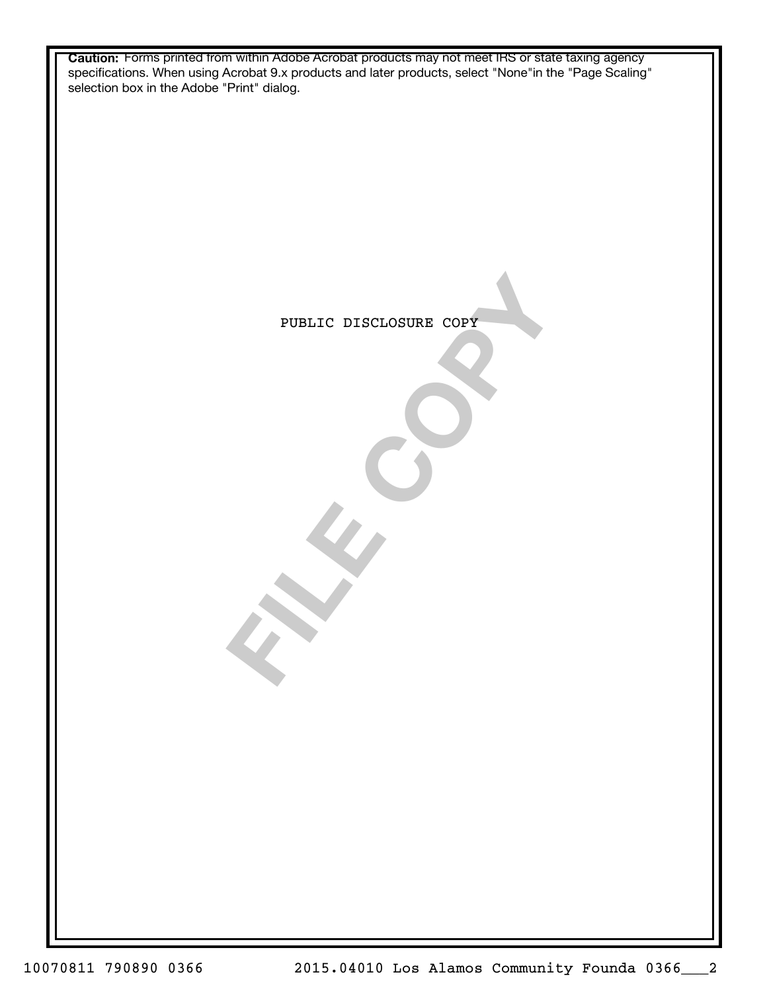| Caution: Forms printed from within Adobe Acrobat products may not meet IRS or state taxing agency      |
|--------------------------------------------------------------------------------------------------------|
| specifications. When using Acrobat 9.x products and later products, select "None"in the "Page Scaling" |
| selection box in the Adobe "Print" dialog.                                                             |
|                                                                                                        |
|                                                                                                        |
|                                                                                                        |
|                                                                                                        |
|                                                                                                        |
|                                                                                                        |
|                                                                                                        |
|                                                                                                        |
|                                                                                                        |
|                                                                                                        |
|                                                                                                        |
|                                                                                                        |
|                                                                                                        |
|                                                                                                        |
|                                                                                                        |
| PUBLIC DISCLOSURE COPY                                                                                 |
|                                                                                                        |
|                                                                                                        |
|                                                                                                        |
|                                                                                                        |
|                                                                                                        |
|                                                                                                        |
|                                                                                                        |
|                                                                                                        |
|                                                                                                        |
|                                                                                                        |
|                                                                                                        |
|                                                                                                        |
|                                                                                                        |
|                                                                                                        |
|                                                                                                        |
|                                                                                                        |
|                                                                                                        |
|                                                                                                        |
|                                                                                                        |
|                                                                                                        |
|                                                                                                        |
|                                                                                                        |
|                                                                                                        |
|                                                                                                        |
|                                                                                                        |
|                                                                                                        |
|                                                                                                        |
|                                                                                                        |
|                                                                                                        |
|                                                                                                        |
|                                                                                                        |
|                                                                                                        |
|                                                                                                        |
|                                                                                                        |
|                                                                                                        |
|                                                                                                        |
|                                                                                                        |
|                                                                                                        |
|                                                                                                        |
|                                                                                                        |
|                                                                                                        |
|                                                                                                        |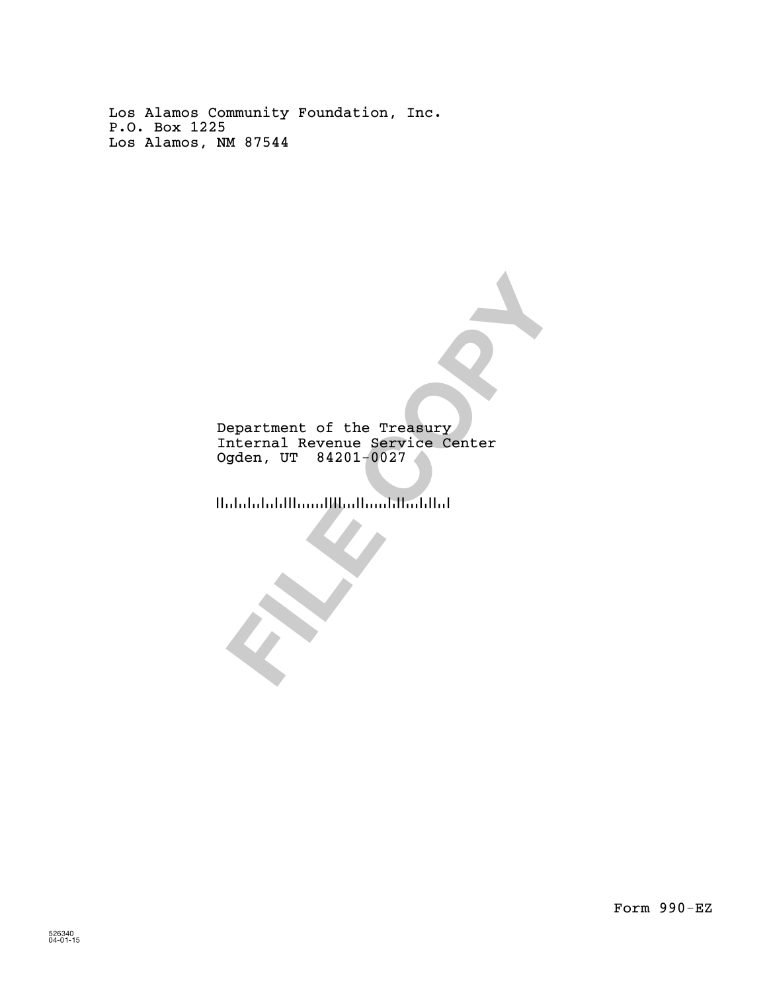Los Alamos Community Foundation, Inc. P.O. Box 1225 Los Alamos, NM 87544

> epartment of the Treasury<br>Internal Revenue Service Center<br>gden, UT 84201-0027<br>Indianal Manufactural Indianal Manufacture Department of the Treasury Internal Revenue Service Center Ogden, UT 84201-0027

المالياتين المسالين والليان لتباين ليلينا

Form 990-EZ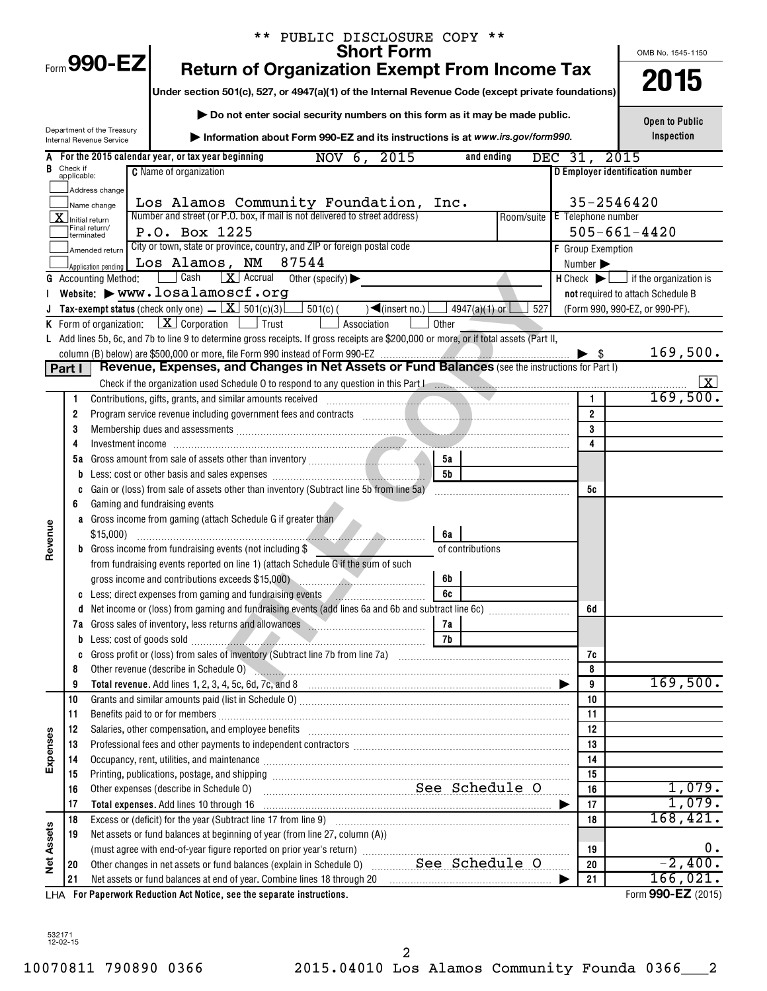|                   |                         |                                                        | PUBLIC DISCLOSURE COPY **<br><b>Short Form</b>                                                                                                                                                                                                                                                     |                  |                               |                              |                                                                       |
|-------------------|-------------------------|--------------------------------------------------------|----------------------------------------------------------------------------------------------------------------------------------------------------------------------------------------------------------------------------------------------------------------------------------------------------|------------------|-------------------------------|------------------------------|-----------------------------------------------------------------------|
|                   |                         | Form 990-EZ                                            |                                                                                                                                                                                                                                                                                                    |                  |                               |                              | OMB No. 1545-1150                                                     |
|                   |                         |                                                        | <b>Return of Organization Exempt From Income Tax</b>                                                                                                                                                                                                                                               |                  |                               |                              | 2015                                                                  |
|                   |                         |                                                        | Under section 501(c), 527, or 4947(a)(1) of the Internal Revenue Code (except private foundations)                                                                                                                                                                                                 |                  |                               |                              |                                                                       |
|                   |                         |                                                        | Do not enter social security numbers on this form as it may be made public.                                                                                                                                                                                                                        |                  |                               |                              | <b>Open to Public</b>                                                 |
|                   |                         | Department of the Treasury<br>Internal Revenue Service | Information about Form 990-EZ and its instructions is at www.irs.gov/form990.                                                                                                                                                                                                                      |                  |                               |                              | Inspection                                                            |
|                   |                         |                                                        | For the 2015 calendar year, or tax year beginning<br>NOV 6.<br>2015                                                                                                                                                                                                                                | and ending       | DEC 31,                       |                              | 2015                                                                  |
| B.                | Check if<br>applicable: |                                                        | <b>C</b> Name of organization                                                                                                                                                                                                                                                                      |                  |                               |                              | D Employer identification number                                      |
|                   |                         |                                                        |                                                                                                                                                                                                                                                                                                    |                  |                               |                              |                                                                       |
|                   |                         | Address change<br>Name change                          | Los Alamos Community Foundation,                                                                                                                                                                                                                                                                   | Inc.             |                               |                              | $35 - 2546420$                                                        |
|                   |                         | $\overline{\mathbf{X}}$ Initial return                 | Number and street (or P.O. box, if mail is not delivered to street address)                                                                                                                                                                                                                        |                  | Room/suite E Telephone number |                              |                                                                       |
|                   |                         | Final return/<br>terminated                            | P.O. Box 1225                                                                                                                                                                                                                                                                                      |                  |                               |                              | $505 - 661 - 4420$                                                    |
|                   |                         | Amended return                                         | City or town, state or province, country, and ZIP or foreign postal code                                                                                                                                                                                                                           |                  |                               | <b>F</b> Group Exemption     |                                                                       |
|                   |                         | Application pending                                    | Los Alamos, NM 87544                                                                                                                                                                                                                                                                               |                  |                               | Number $\blacktriangleright$ |                                                                       |
|                   |                         | <b>G</b> Accounting Method:                            | $\mathbf{X}$ Accrual<br>  Cash<br>Other (specify) $\blacktriangleright$                                                                                                                                                                                                                            |                  |                               |                              | $H$ Check $\blacktriangleright$ $\blacksquare$ if the organization is |
|                   |                         |                                                        | Website: Www.losalamoscf.org                                                                                                                                                                                                                                                                       |                  |                               |                              | not required to attach Schedule B                                     |
|                   |                         |                                                        | Tax-exempt status (check only one) $\boxed{\mathbf{X}}$ 501(c)(3)<br>$\frac{1}{2}$ 501(c) (<br>$\sqrt{\frac{2}{\text{S}}\left(\frac{1}{100}\right)}$                                                                                                                                               | 4947(a)(1) or [  | 527                           |                              | (Form 990, 990-EZ, or 990-PF).                                        |
|                   |                         |                                                        | K Form of organization: $X \cdot X$ Corporation Trust<br>Association                                                                                                                                                                                                                               | Other            |                               |                              |                                                                       |
|                   |                         |                                                        | L Add lines 5b, 6c, and 7b to line 9 to determine gross receipts. If gross receipts are \$200,000 or more, or if total assets (Part II,                                                                                                                                                            |                  |                               |                              |                                                                       |
|                   |                         |                                                        | Revenue, Expenses, and Changes in Net Assets or Fund Balances (see the instructions for Part I)                                                                                                                                                                                                    |                  |                               | - \$                         | 169,500.                                                              |
|                   | Part I                  |                                                        | Check if the organization used Schedule O to respond to any question in this Part   manufactured manufactured manufactured manufactured manufactured manufactured manufactured manufactured manufactured manufactured manufact                                                                     |                  |                               |                              |                                                                       |
|                   | 1.                      |                                                        | Contributions, gifts, grants, and similar amounts received<br><u> Estados de la contrador de la contrador de la contrador de la contrador de la contrador de la contrador de la contrador de la contrador de la contrador de la contrador de la contrador de la contrador de la contrador de l</u> |                  |                               | $\mathbf{1}$                 | 169,500.                                                              |
|                   | 2                       |                                                        |                                                                                                                                                                                                                                                                                                    |                  |                               | $\overline{2}$               |                                                                       |
|                   | 3                       |                                                        |                                                                                                                                                                                                                                                                                                    |                  |                               | 3                            |                                                                       |
|                   | 4                       |                                                        |                                                                                                                                                                                                                                                                                                    |                  |                               | 4                            |                                                                       |
|                   | 5а                      |                                                        |                                                                                                                                                                                                                                                                                                    | 5а               |                               |                              |                                                                       |
|                   | b                       |                                                        |                                                                                                                                                                                                                                                                                                    | 5b               |                               |                              |                                                                       |
|                   | C                       |                                                        | Gain or (loss) from sale of assets other than inventory (Subtract line 5b from line 5a)                                                                                                                                                                                                            |                  |                               | 5c                           |                                                                       |
|                   | 6                       | Gaming and fundraising events                          |                                                                                                                                                                                                                                                                                                    |                  |                               |                              |                                                                       |
|                   |                         |                                                        | a Gross income from gaming (attach Schedule G if greater than                                                                                                                                                                                                                                      |                  |                               |                              |                                                                       |
| Revenue           |                         | \$15,000                                               |                                                                                                                                                                                                                                                                                                    | 6a               |                               |                              |                                                                       |
|                   |                         |                                                        | <b>b</b> Gross income from fundraising events (not including \$                                                                                                                                                                                                                                    | of contributions |                               |                              |                                                                       |
|                   |                         |                                                        | from fundraising events reported on line 1) (attach Schedule G if the sum of such                                                                                                                                                                                                                  | 6b               |                               |                              |                                                                       |
|                   |                         |                                                        | c Less: direct expenses from gaming and fundraising events Allenance Conservation and the Less: direct expenses from gaming and fundraising events                                                                                                                                                 | 6с               |                               |                              |                                                                       |
|                   | d                       |                                                        |                                                                                                                                                                                                                                                                                                    |                  |                               | 6d                           |                                                                       |
|                   |                         |                                                        | 7a Gross sales of inventory, less returns and allowances                                                                                                                                                                                                                                           | 7a               |                               |                              |                                                                       |
|                   | b                       |                                                        | Less: cost of goods sold with a state of goods sold with a state of goods sold with a state of goods sold                                                                                                                                                                                          | 7b               |                               |                              |                                                                       |
|                   | C                       |                                                        |                                                                                                                                                                                                                                                                                                    |                  |                               | 7c                           |                                                                       |
|                   | 8                       |                                                        | Other revenue (describe in Schedule O)                                                                                                                                                                                                                                                             |                  |                               | 8                            |                                                                       |
|                   | 9                       |                                                        |                                                                                                                                                                                                                                                                                                    |                  |                               | 9                            | 169,500.                                                              |
|                   | 10                      |                                                        |                                                                                                                                                                                                                                                                                                    |                  |                               | 10                           |                                                                       |
|                   | 11                      |                                                        |                                                                                                                                                                                                                                                                                                    |                  |                               | 11                           |                                                                       |
|                   | 12                      |                                                        | Salaries, other compensation, and employee benefits [11] manufactures in the component of the compensation, and employee benefits [11] manufactures in the compensation and the competition of the competition of the competit                                                                     |                  |                               | 12                           |                                                                       |
| Expenses          | 13                      |                                                        |                                                                                                                                                                                                                                                                                                    |                  |                               | 13<br>14                     |                                                                       |
|                   | 14<br>15                |                                                        | Occupancy, rent, utilities, and maintenance manufactured and announcement of the manufacture of the manufactur                                                                                                                                                                                     |                  |                               | 15                           |                                                                       |
|                   | 16                      |                                                        | See Schedule O<br>Other expenses (describe in Schedule O)                                                                                                                                                                                                                                          |                  |                               | 16                           | 1,079.                                                                |
|                   | 17                      |                                                        | Total expenses. Add lines 10 through 16 measurements are constructed as a set of the set of the set of the set of the set of the set of the set of the set of the set of the set of the set of the set of the set of the set o                                                                     |                  |                               | 17                           | 1,079.                                                                |
|                   | 18                      |                                                        |                                                                                                                                                                                                                                                                                                    |                  |                               | 18                           | 168,421.                                                              |
|                   | 19                      |                                                        | Net assets or fund balances at beginning of year (from line 27, column (A))                                                                                                                                                                                                                        |                  |                               |                              |                                                                       |
| <b>Net Assets</b> |                         |                                                        |                                                                                                                                                                                                                                                                                                    |                  |                               | 19                           | Ο.                                                                    |
|                   | 20                      |                                                        | Other changes in net assets or fund balances (explain in Schedule 0) ____________ See _Schedule O                                                                                                                                                                                                  |                  |                               | 20                           | $-2,400.$                                                             |
|                   | 21                      |                                                        |                                                                                                                                                                                                                                                                                                    |                  | ▶                             | 21                           | 166,021.                                                              |
|                   |                         |                                                        | LHA For Paperwork Reduction Act Notice, see the separate instructions.                                                                                                                                                                                                                             |                  |                               |                              | Form 990-EZ (2015)                                                    |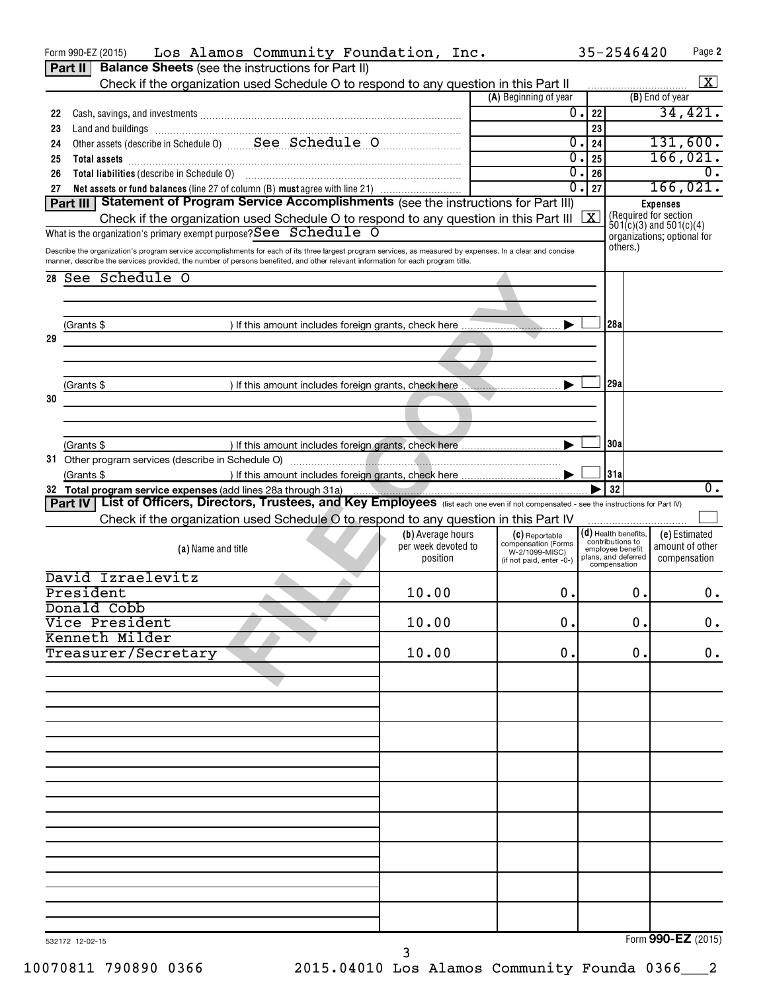|    | Los Alamos Community Foundation, Inc.<br>Form 990-EZ (2015)                                                                                                                                                                    |                     |                                       | 35-2546420                           |          | Page 2                                               |
|----|--------------------------------------------------------------------------------------------------------------------------------------------------------------------------------------------------------------------------------|---------------------|---------------------------------------|--------------------------------------|----------|------------------------------------------------------|
|    | <b>Balance Sheets (see the instructions for Part II)</b><br>Part II                                                                                                                                                            |                     |                                       |                                      |          |                                                      |
|    | Check if the organization used Schedule O to respond to any question in this Part II                                                                                                                                           |                     |                                       |                                      |          | $\mathbf{X}$                                         |
|    |                                                                                                                                                                                                                                |                     | (A) Beginning of year                 |                                      |          | (B) End of year                                      |
| 22 | Cash, savings, and investments [111] Cash, saving and investments [11] Cash, savings, and investments [11] [11                                                                                                                 |                     | 0.1                                   | 22                                   |          | 34,421.                                              |
| 23 | Land and buildings [11] manufactured and and buildings [11] manufactured and buildings [11] manufactured and buildings                                                                                                         |                     |                                       | 23                                   |          |                                                      |
| 24 | Other assets (describe in Schedule 0) See Schedule O                                                                                                                                                                           |                     | $\overline{0}$ .                      | 24                                   |          | 131,600.                                             |
| 25 | Total assets <b>communications</b> and assets <b>and assets communications continued assets communications</b>                                                                                                                 |                     | $\overline{0}$ .                      | 25                                   |          | 166,021.                                             |
| 26 | Total liabilities (describe in Schedule 0) [11] [12] matter contracts and schedule 10] [12] and the set of the set of the set of the set of the set of the set of the set of the set of the set of the set of the set of the s |                     | $\overline{0}$ .                      | 26                                   |          | 0.                                                   |
| 27 | Net assets or fund balances (line 27 of column (B) must agree with line 21)                                                                                                                                                    |                     | $\overline{0}$ .                      | 27                                   |          | 166,021.                                             |
|    | Part III Statement of Program Service Accomplishments (see the instructions for Part III)                                                                                                                                      |                     |                                       |                                      |          | <b>Expenses</b>                                      |
|    | Check if the organization used Schedule O to respond to any question in this Part III                                                                                                                                          |                     |                                       | $\overline{\mathbf{x}}$              |          | (Required for section<br>$501(c)(3)$ and $501(c)(4)$ |
|    | What is the organization's primary exempt purpose?See Schedule O                                                                                                                                                               |                     |                                       |                                      |          | organizations; optional for                          |
|    | Describe the organization's program service accomplishments for each of its three largest program services, as measured by expenses. In a clear and concise                                                                    |                     |                                       |                                      | others.) |                                                      |
|    | manner, describe the services provided, the number of persons benefited, and other relevant information for each program title.                                                                                                |                     |                                       |                                      |          |                                                      |
|    | 28 See Schedule O                                                                                                                                                                                                              |                     |                                       |                                      |          |                                                      |
|    |                                                                                                                                                                                                                                |                     |                                       |                                      |          |                                                      |
|    |                                                                                                                                                                                                                                |                     |                                       |                                      |          |                                                      |
|    | (Grants \$                                                                                                                                                                                                                     |                     |                                       | 28a                                  |          |                                                      |
| 29 |                                                                                                                                                                                                                                |                     |                                       |                                      |          |                                                      |
|    |                                                                                                                                                                                                                                |                     |                                       |                                      |          |                                                      |
|    |                                                                                                                                                                                                                                |                     |                                       |                                      |          |                                                      |
|    | (Grants \$                                                                                                                                                                                                                     |                     |                                       | 29a                                  |          |                                                      |
| 30 |                                                                                                                                                                                                                                |                     |                                       |                                      |          |                                                      |
|    |                                                                                                                                                                                                                                |                     |                                       |                                      |          |                                                      |
|    |                                                                                                                                                                                                                                |                     |                                       |                                      |          |                                                      |
|    | (Grants \$                                                                                                                                                                                                                     |                     |                                       | 30a                                  |          |                                                      |
|    | 31 Other program services (describe in Schedule O)                                                                                                                                                                             |                     |                                       |                                      |          |                                                      |
|    | (Grants \$                                                                                                                                                                                                                     |                     |                                       | 31a                                  |          |                                                      |
|    |                                                                                                                                                                                                                                |                     |                                       | 32                                   |          | $\overline{0}$ .                                     |
|    |                                                                                                                                                                                                                                |                     |                                       |                                      |          |                                                      |
|    | Part IV   List of Officers, Directors, Trustees, and Key Employees (list each one even if not compensated - see the instructions for Part IV)                                                                                  |                     |                                       |                                      |          |                                                      |
|    | Check if the organization used Schedule O to respond to any question in this Part IV                                                                                                                                           |                     |                                       |                                      |          |                                                      |
|    |                                                                                                                                                                                                                                | (b) Average hours   | (C) Reportable                        | $(d)$ Health benefits,               |          | (e) Estimated                                        |
|    | (a) Name and title                                                                                                                                                                                                             | per week devoted to | compensation (Forms<br>W-2/1099-MISC) | contributions to<br>employee benefit |          | amount of other                                      |
|    |                                                                                                                                                                                                                                | position            | (if not paid, enter -0-)              | plans, and deferred<br>compensation  |          | compensation                                         |
|    | David Izraelevitz                                                                                                                                                                                                              |                     |                                       |                                      |          |                                                      |
|    | President                                                                                                                                                                                                                      | 10.00               | О.                                    |                                      | 0.       | 0.                                                   |
|    | Donald Cobb                                                                                                                                                                                                                    |                     |                                       |                                      |          |                                                      |
|    | Vice President                                                                                                                                                                                                                 | 10.00               | 0.                                    |                                      | 0.       | 0.                                                   |
|    | Kenneth Milder                                                                                                                                                                                                                 |                     |                                       |                                      |          |                                                      |
|    | Treasurer/Secretary                                                                                                                                                                                                            | 10.00               | 0.                                    |                                      | 0.       | $0$ .                                                |
|    |                                                                                                                                                                                                                                |                     |                                       |                                      |          |                                                      |
|    |                                                                                                                                                                                                                                |                     |                                       |                                      |          |                                                      |
|    |                                                                                                                                                                                                                                |                     |                                       |                                      |          |                                                      |
|    |                                                                                                                                                                                                                                |                     |                                       |                                      |          |                                                      |
|    |                                                                                                                                                                                                                                |                     |                                       |                                      |          |                                                      |
|    |                                                                                                                                                                                                                                |                     |                                       |                                      |          |                                                      |
|    |                                                                                                                                                                                                                                |                     |                                       |                                      |          |                                                      |
|    |                                                                                                                                                                                                                                |                     |                                       |                                      |          |                                                      |
|    |                                                                                                                                                                                                                                |                     |                                       |                                      |          |                                                      |
|    |                                                                                                                                                                                                                                |                     |                                       |                                      |          |                                                      |
|    |                                                                                                                                                                                                                                |                     |                                       |                                      |          |                                                      |
|    |                                                                                                                                                                                                                                |                     |                                       |                                      |          |                                                      |
|    |                                                                                                                                                                                                                                |                     |                                       |                                      |          |                                                      |
|    |                                                                                                                                                                                                                                |                     |                                       |                                      |          |                                                      |
|    |                                                                                                                                                                                                                                |                     |                                       |                                      |          |                                                      |
|    |                                                                                                                                                                                                                                |                     |                                       |                                      |          |                                                      |
|    |                                                                                                                                                                                                                                |                     |                                       |                                      |          |                                                      |
|    |                                                                                                                                                                                                                                |                     |                                       |                                      |          |                                                      |
|    | 532172 12-02-15                                                                                                                                                                                                                |                     |                                       |                                      |          | Form 990-EZ (2015)                                   |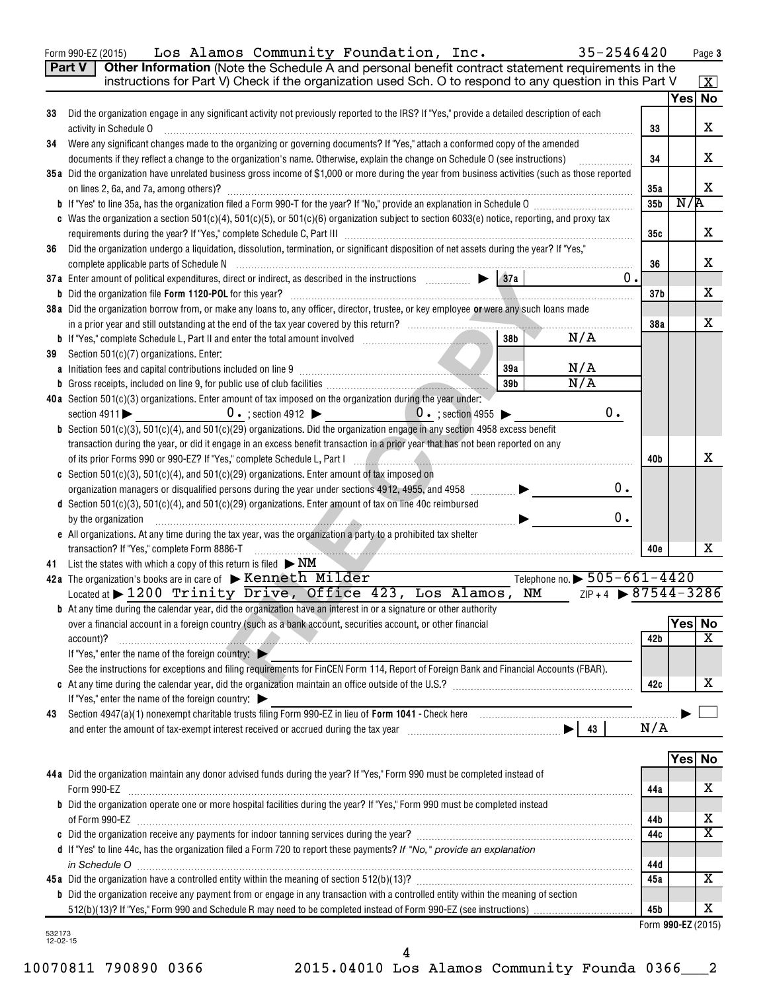| Form 990-EZ (2015) |  |  |  | Los Alamos Community Foundation, Inc. |  | $35 - 2546420$ | Page |
|--------------------|--|--|--|---------------------------------------|--|----------------|------|
|--------------------|--|--|--|---------------------------------------|--|----------------|------|

|    | Part V<br>Other Information (Note the Schedule A and personal benefit contract statement requirements in the<br>instructions for Part V) Check if the organization used Sch. O to respond to any question in this Part V                                                           |                 |               | $\vert$ X $\vert$            |
|----|------------------------------------------------------------------------------------------------------------------------------------------------------------------------------------------------------------------------------------------------------------------------------------|-----------------|---------------|------------------------------|
|    |                                                                                                                                                                                                                                                                                    |                 |               | Yes No                       |
| 33 | Did the organization engage in any significant activity not previously reported to the IRS? If "Yes," provide a detailed description of each                                                                                                                                       |                 |               |                              |
|    | activity in Schedule O                                                                                                                                                                                                                                                             | 33              |               | X                            |
| 34 | Were any significant changes made to the organizing or governing documents? If "Yes," attach a conformed copy of the amended                                                                                                                                                       |                 |               | х                            |
|    | documents if they reflect a change to the organization's name. Otherwise, explain the change on Schedule O (see instructions)<br>35a Did the organization have unrelated business gross income of \$1,000 or more during the year from business activities (such as those reported | 34              |               |                              |
|    | on lines 2, 6a, and 7a, among others)?                                                                                                                                                                                                                                             | 35a             |               | X                            |
|    |                                                                                                                                                                                                                                                                                    | 35 <sub>b</sub> | N/R           |                              |
|    | c Was the organization a section 501(c)(4), 501(c)(5), or 501(c)(6) organization subject to section 6033(e) notice, reporting, and proxy tax                                                                                                                                       |                 |               |                              |
|    |                                                                                                                                                                                                                                                                                    | 35c             |               | X                            |
| 36 | Did the organization undergo a liquidation, dissolution, termination, or significant disposition of net assets during the year? If "Yes,"                                                                                                                                          |                 |               |                              |
|    |                                                                                                                                                                                                                                                                                    | 36              |               | х                            |
|    | 0.<br>37a Enter amount of political expenditures, direct or indirect, as described in the instructions  ▶ 37a                                                                                                                                                                      |                 |               |                              |
|    |                                                                                                                                                                                                                                                                                    | 37 <sub>b</sub> |               | х                            |
|    | 38a Did the organization borrow from, or make any loans to, any officer, director, trustee, or key employee or were any such loans made                                                                                                                                            |                 |               |                              |
|    | N/A<br>38b                                                                                                                                                                                                                                                                         | 38a             |               | х                            |
| 39 | Section 501(c)(7) organizations. Enter:                                                                                                                                                                                                                                            |                 |               |                              |
|    | N/A<br>39a<br>a Initiation fees and capital contributions included on line 9 [11] [11] matter contract the same contributions                                                                                                                                                      |                 |               |                              |
| b  | N/A<br>39b                                                                                                                                                                                                                                                                         |                 |               |                              |
|    | 40a Section 501(c)(3) organizations. Enter amount of tax imposed on the organization during the year under:                                                                                                                                                                        |                 |               |                              |
|    | $0 \cdot$ ; section 4912 $\triangleright$ 0 $\cdot$ ; section 4955 $\triangleright$<br>0.<br>section $4911$                                                                                                                                                                        |                 |               |                              |
|    | <b>b</b> Section $501(c)(3)$ , $501(c)(4)$ , and $501(c)(29)$ organizations. Did the organization engage in any section 4958 excess benefit                                                                                                                                        |                 |               |                              |
|    | transaction during the year, or did it engage in an excess benefit transaction in a prior year that has not been reported on any                                                                                                                                                   |                 |               |                              |
|    | of its prior Forms 990 or 990-EZ? If "Yes," complete Schedule L, Part I [1] [1] [1] [1] [1] [1] [1] [1] [1] [1                                                                                                                                                                     | 40b             |               | х                            |
|    | c Section 501(c)(3), 501(c)(4), and 501(c)(29) organizations. Enter amount of tax imposed on                                                                                                                                                                                       |                 |               |                              |
|    | 0.<br>organization managers or disqualified persons during the year under sections 4912, 4955, and 4958 <i>mmmmm</i>                                                                                                                                                               |                 |               |                              |
|    | d Section 501(c)(3), 501(c)(4), and 501(c)(29) organizations. Enter amount of tax on line 40c reimbursed<br>0.<br>by the organization                                                                                                                                              |                 |               |                              |
|    | e All organizations. At any time during the tax year, was the organization a party to a prohibited tax shelter                                                                                                                                                                     |                 |               |                              |
|    | transaction? If "Yes," complete Form 8886-T<br>.                                                                                                                                                                                                                                   | 40e             |               | x                            |
| 41 | List the states with which a copy of this return is filed $\triangleright$ NM                                                                                                                                                                                                      |                 |               |                              |
|    | Telephone no. > 505-661-4420<br>42a The organization's books are in care of $\blacktriangleright$ Kenneth Milder                                                                                                                                                                   |                 |               |                              |
|    | $ZIP + 4 \rightarrow 87544 - 3286$<br>Located at > 1200 Trinity Drive, Office 423, Los Alamos,<br>NΜ                                                                                                                                                                               |                 |               |                              |
|    | <b>b</b> At any time during the calendar year, did the organization have an interest in or a signature or other authority                                                                                                                                                          |                 |               |                              |
|    | over a financial account in a foreign country (such as a bank account, securities account, or other financial                                                                                                                                                                      |                 | <b>Yes No</b> |                              |
|    | account)?                                                                                                                                                                                                                                                                          | 42b             |               | $\overline{\mathbf{X}}$      |
|    | If "Yes," enter the name of the foreign country:<br>See the instructions for exceptions and filing requirements for FinCEN Form 114, Report of Foreign Bank and Financial Accounts (FBAR).                                                                                         |                 |               |                              |
|    |                                                                                                                                                                                                                                                                                    | 42c             |               | X                            |
|    | If "Yes," enter the name of the foreign country:                                                                                                                                                                                                                                   |                 |               |                              |
| 43 |                                                                                                                                                                                                                                                                                    |                 |               |                              |
|    |                                                                                                                                                                                                                                                                                    | N/A             |               |                              |
|    |                                                                                                                                                                                                                                                                                    |                 |               |                              |
|    |                                                                                                                                                                                                                                                                                    |                 |               | Yes No                       |
|    | 44a Did the organization maintain any donor advised funds during the year? If "Yes," Form 990 must be completed instead of                                                                                                                                                         |                 |               |                              |
|    | Form 990-EZ                                                                                                                                                                                                                                                                        | 44a             |               | х                            |
|    | b Did the organization operate one or more hospital facilities during the year? If "Yes," Form 990 must be completed instead                                                                                                                                                       |                 |               |                              |
|    |                                                                                                                                                                                                                                                                                    | 44b             |               | х<br>$\overline{\mathbf{X}}$ |
|    |                                                                                                                                                                                                                                                                                    | 44c             |               |                              |
|    | d If "Yes" to line 44c, has the organization filed a Form 720 to report these payments? If "No," provide an explanation                                                                                                                                                            | 44d             |               |                              |
|    | in Schedule O                                                                                                                                                                                                                                                                      | 45a             |               | $\overline{\mathbf{X}}$      |
|    | <b>b</b> Did the organization receive any payment from or engage in any transaction with a controlled entity within the meaning of section                                                                                                                                         |                 |               |                              |
|    |                                                                                                                                                                                                                                                                                    | 45b             |               | x                            |
|    |                                                                                                                                                                                                                                                                                    |                 |               | Form 990-EZ (2015)           |

| ミクコ   |   |
|-------|---|
| (12-1 | n |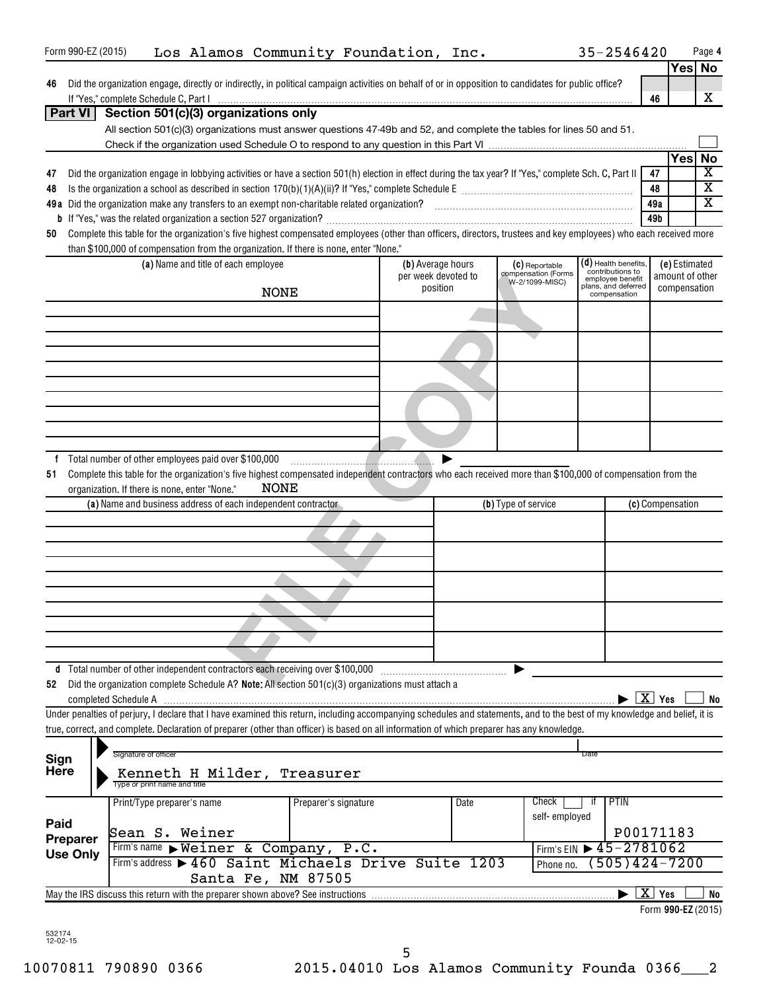| Form 990-EZ (2015)  |                      |                              |                                                              |             | Los Alamos Community Foundation, Inc.                                                                                                                                      |                                          |      |                                       |      | 35-2546420                                 |                    |               | Page 4                  |
|---------------------|----------------------|------------------------------|--------------------------------------------------------------|-------------|----------------------------------------------------------------------------------------------------------------------------------------------------------------------------|------------------------------------------|------|---------------------------------------|------|--------------------------------------------|--------------------|---------------|-------------------------|
|                     |                      |                              |                                                              |             |                                                                                                                                                                            |                                          |      |                                       |      |                                            |                    |               | Yes∣ No                 |
| 46                  |                      |                              |                                                              |             | Did the organization engage, directly or indirectly, in political campaign activities on behalf of or in opposition to candidates for public office?                       |                                          |      |                                       |      |                                            |                    |               |                         |
|                     |                      |                              |                                                              |             |                                                                                                                                                                            |                                          |      |                                       |      |                                            | 46                 |               | X                       |
| <b>Part VI</b>      |                      |                              | Section 501(c)(3) organizations only                         |             |                                                                                                                                                                            |                                          |      |                                       |      |                                            |                    |               |                         |
|                     |                      |                              |                                                              |             | All section 501(c)(3) organizations must answer questions 47-49b and 52, and complete the tables for lines 50 and 51.                                                      |                                          |      |                                       |      |                                            |                    |               |                         |
|                     |                      |                              |                                                              |             |                                                                                                                                                                            |                                          |      |                                       |      |                                            |                    | Yes           | <b>No</b>               |
| 47                  |                      |                              |                                                              |             | Did the organization engage in lobbying activities or have a section 501(h) election in effect during the tax year? If "Yes," complete Sch. C, Part II                     |                                          |      |                                       |      |                                            | 47                 |               | $\overline{\textbf{x}}$ |
| 48                  |                      |                              |                                                              |             |                                                                                                                                                                            |                                          |      |                                       |      |                                            | 48                 |               | $\overline{\mathtt{x}}$ |
|                     |                      |                              |                                                              |             |                                                                                                                                                                            |                                          |      |                                       |      |                                            | 49a                |               | $\overline{\text{x}}$   |
|                     |                      |                              |                                                              |             |                                                                                                                                                                            |                                          |      |                                       |      |                                            | 49b                |               |                         |
| 50                  |                      |                              |                                                              |             | Complete this table for the organization's five highest compensated employees (other than officers, directors, trustees and key employees) who each received more          |                                          |      |                                       |      |                                            |                    |               |                         |
|                     |                      |                              |                                                              |             | than \$100,000 of compensation from the organization. If there is none, enter "None."                                                                                      |                                          |      |                                       |      |                                            |                    |               |                         |
|                     |                      |                              | (a) Name and title of each employee                          |             |                                                                                                                                                                            | (b) Average hours<br>per week devoted to |      | (C) Reportable<br>compensation (Forms |      | $(d)$ Health benefits,<br>contributions to |                    | (e) Estimated | amount of other         |
|                     |                      |                              |                                                              | <b>NONE</b> |                                                                                                                                                                            | position                                 |      | W-2/1099-MISC)                        |      | employee benefit<br>plans, and deferred    |                    | compensation  |                         |
|                     |                      |                              |                                                              |             |                                                                                                                                                                            |                                          |      |                                       |      | compensation                               |                    |               |                         |
|                     |                      |                              |                                                              |             |                                                                                                                                                                            |                                          |      |                                       |      |                                            |                    |               |                         |
|                     |                      |                              |                                                              |             |                                                                                                                                                                            |                                          |      |                                       |      |                                            |                    |               |                         |
|                     |                      |                              |                                                              |             |                                                                                                                                                                            |                                          |      |                                       |      |                                            |                    |               |                         |
|                     |                      |                              |                                                              |             |                                                                                                                                                                            |                                          |      |                                       |      |                                            |                    |               |                         |
|                     |                      |                              |                                                              |             |                                                                                                                                                                            |                                          |      |                                       |      |                                            |                    |               |                         |
|                     |                      |                              |                                                              |             |                                                                                                                                                                            |                                          |      |                                       |      |                                            |                    |               |                         |
|                     |                      |                              |                                                              |             |                                                                                                                                                                            |                                          |      |                                       |      |                                            |                    |               |                         |
|                     |                      |                              |                                                              |             |                                                                                                                                                                            |                                          |      |                                       |      |                                            |                    |               |                         |
|                     |                      |                              |                                                              |             |                                                                                                                                                                            |                                          |      |                                       |      |                                            |                    |               |                         |
|                     |                      |                              | Total number of other employees paid over \$100,000          |             | Complete this table for the organization's five highest compensated independent contractors who each received more than \$100,000 of compensation from the                 |                                          |      |                                       |      |                                            |                    |               |                         |
| 51                  |                      |                              | organization. If there is none, enter "None."                | <b>NONE</b> |                                                                                                                                                                            |                                          |      |                                       |      |                                            |                    |               |                         |
|                     |                      |                              | (a) Name and business address of each independent contractor |             |                                                                                                                                                                            |                                          |      | (b) Type of service                   |      |                                            | (c) Compensation   |               |                         |
|                     |                      |                              |                                                              |             |                                                                                                                                                                            |                                          |      |                                       |      |                                            |                    |               |                         |
|                     |                      |                              |                                                              |             |                                                                                                                                                                            |                                          |      |                                       |      |                                            |                    |               |                         |
|                     |                      |                              |                                                              |             |                                                                                                                                                                            |                                          |      |                                       |      |                                            |                    |               |                         |
|                     |                      |                              |                                                              |             |                                                                                                                                                                            |                                          |      |                                       |      |                                            |                    |               |                         |
|                     |                      |                              |                                                              |             |                                                                                                                                                                            |                                          |      |                                       |      |                                            |                    |               |                         |
|                     |                      |                              |                                                              |             |                                                                                                                                                                            |                                          |      |                                       |      |                                            |                    |               |                         |
|                     |                      |                              |                                                              |             |                                                                                                                                                                            |                                          |      |                                       |      |                                            |                    |               |                         |
|                     |                      |                              |                                                              |             |                                                                                                                                                                            |                                          |      |                                       |      |                                            |                    |               |                         |
|                     |                      |                              |                                                              |             |                                                                                                                                                                            |                                          |      |                                       |      |                                            |                    |               |                         |
|                     |                      |                              |                                                              |             | d Total number of other independent contractors each receiving over \$100,000                                                                                              |                                          |      |                                       |      |                                            |                    |               |                         |
| 52                  |                      |                              |                                                              |             | Did the organization complete Schedule A? Note: All section 501(c)(3) organizations must attach a                                                                          |                                          |      |                                       |      |                                            |                    |               |                         |
|                     | completed Schedule A |                              |                                                              |             |                                                                                                                                                                            |                                          |      |                                       |      |                                            | $\overline{X}$ Yes |               | No                      |
|                     |                      |                              |                                                              |             | Under penalties of perjury, I declare that I have examined this return, including accompanying schedules and statements, and to the best of my knowledge and belief, it is |                                          |      |                                       |      |                                            |                    |               |                         |
|                     |                      |                              |                                                              |             | true, correct, and complete. Declaration of preparer (other than officer) is based on all information of which preparer has any knowledge.                                 |                                          |      |                                       |      |                                            |                    |               |                         |
|                     |                      | Signature of officer         |                                                              |             |                                                                                                                                                                            |                                          |      |                                       | Date |                                            |                    |               |                         |
| Sign<br><b>Here</b> |                      |                              |                                                              |             | Kenneth H Milder, Treasurer                                                                                                                                                |                                          |      |                                       |      |                                            |                    |               |                         |
|                     |                      | Type or print name and title |                                                              |             |                                                                                                                                                                            |                                          |      |                                       |      |                                            |                    |               |                         |
|                     |                      | Print/Type preparer's name   |                                                              |             | Preparer's signature                                                                                                                                                       |                                          | Date | Check                                 | ït   | <b>PTIN</b>                                |                    |               |                         |
| Paid                |                      |                              |                                                              |             |                                                                                                                                                                            |                                          |      | self-employed                         |      |                                            |                    |               |                         |
| Preparer            |                      |                              | Sean S. Weiner                                               |             |                                                                                                                                                                            |                                          |      |                                       |      | P00171183                                  |                    |               |                         |
| <b>Use Only</b>     |                      |                              |                                                              |             | Firm's name > Weiner & Company, P.C.                                                                                                                                       |                                          |      |                                       |      | Firm's EIN $\triangleright$ 45 - 2781062   |                    |               |                         |
|                     |                      |                              |                                                              |             | Firm's address > 460 Saint Michaels Drive Suite 1203                                                                                                                       |                                          |      | Phone no.                             |      | (505)424-7200                              |                    |               |                         |
|                     |                      |                              |                                                              |             | Santa Fe, NM 87505                                                                                                                                                         |                                          |      |                                       |      |                                            |                    |               |                         |
|                     |                      |                              |                                                              |             |                                                                                                                                                                            |                                          |      |                                       |      |                                            | $\overline{X}$ Yes |               | No                      |
|                     |                      |                              |                                                              |             |                                                                                                                                                                            |                                          |      |                                       |      |                                            |                    |               | Form 990-EZ (2015)      |

532174 12-02-15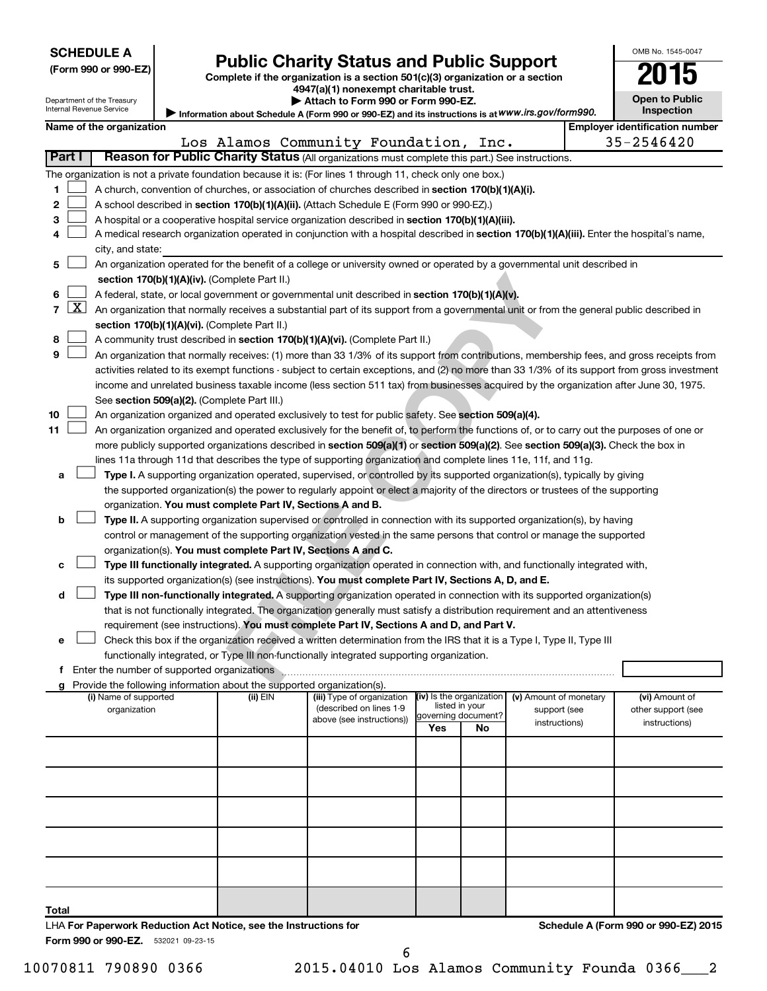| <b>SCHEDULE A</b> |  |
|-------------------|--|
|-------------------|--|

**123456789**

6

8 9

 $5<sup>1</sup>$ 

1  $\overline{2}$  $\mathbf{a}$ 4

**10 11** ††††††††††††††††

**abcdefg**

b

| (Form 990 or 990-EZ |  |  |  |  |
|---------------------|--|--|--|--|
|---------------------|--|--|--|--|

# **Public Charity Status and Public Support**

Complete if the organization is a section 501(c)(3) organization or a section

mplete Part II.)<br>mmentr or governmental unit described in section 170(b)(1)(A)(v).<br>mercives a substantial part of its support from a governmental unit or from the gen<br>neplete Part II.)<br>in section 170(b)(1)(A)(vi). (Complet Department of the Treasury Internal Revenue Service Information about Schedule A (Form 990 or 990-EZ) and its instructions is at WWW.irs.gov/form990. **(i)** Name of supported **and in terms of the COV (iii)** Type of organization **(iv)** Is the organization **(v)** Amount of monetary **(vi)** organization (iii) Type of organization (described on lines 1-9 above (see instructions)) iv) is the organization listed in your governing document? support (see instructions) (vi) Amount of other support (see instructions) (ii) EIN **4947(a)(1) nonexempt charitable trust. | Attach to Form 990 or Form 990-EZ. Open to Public Inspection Name of the organization Employer identification number** A church, convention of churches, or association of churches described in **section 170(b)(1)(A)(i).** A school described in **section 170(b)(1)(A)(ii).** (Attach Schedule E (Form 990 or 990-EZ).) A hospital or a cooperative hospital service organization described in section 170(b)(1)(A)(iii). A medical research organization operated in conjunction with a hospital described in **section 170(b)(1)(A)(iii).** Enter the hospital's name, **section 170(b)(1)(A)(iv).**  (Complete Part II.) A federal, state, or local government or governmental unit described in section 170(b)(1)(A)(v). **section 170(b)(1)(A)(vi).** (Complete Part II.) A community trust described in **section 170(b)(1)(A)(vi).** (Complete Part II.) See section 509(a)(2). (Complete Part III.) An organization organized and operated exclusively to test for public safety. See **section 509(a)(4).** more publicly supported organizations described in **section 509(a)(1)** or section 509(a)(2). See section 509(a)(3). Check the box in **Type I.** A supporting organization operated, supervised, or controlled by its supported organization(s), typically by giving organization. You must complete Part IV, Sections A and B. **Type II.** A supporting organization supervised or controlled in connection with its supported organization(s), by having organization(s). You must complete Part IV, Sections A and C. **Type III functionally integrated.** A supporting organization operated in connection with, and functionally integrated with, its supported organization(s) (see instructions). **You must complete Part IV, Sections A, D, and E. Type III non-functionally integrated.** A supporting organization operated in connection with its supported organization(s) requirement (see instructions). **You must complete Part IV, Sections A and D, and Part V. Yes No Part I** | Reason for Public Charity Status (All organizations must complete this part.) See instructions. The organization is not a private foundation because it is: (For lines 1 through 11, check only one box.) city, and state: An organization operated for the benefit of a college or university owned or operated by a governmental unit described in  $\overline{\textbf{X}}\textbf{]}$  An organization that normally receives a substantial part of its support from a governmental unit or from the general public described in An organization that normally receives: (1) more than 33 1/3% of its support from contributions, membership fees, and gross receipts from activities related to its exempt functions - subject to certain exceptions, and (2) no more than 33 1/3% of its support from gross investment income and unrelated business taxable income (less section 511 tax) from businesses acquired by the organization after June 30, 1975. An organization organized and operated exclusively for the benefit of, to perform the functions of, or to carry out the purposes of one or lines 11a through 11d that describes the type of supporting organization and complete lines 11e, 11f, and 11g. the supported organization(s) the power to regularly appoint or elect a majority of the directors or trustees of the supporting control or management of the supporting organization vested in the same persons that control or manage the supported that is not functionally integrated. The organization generally must satisfy a distribution requirement and an attentiveness Check this box if the organization received a written determination from the IRS that it is a Type I, Type II, Type III functionally integrated, or Type III non-functionally integrated supporting organization. f Enter the number of supported organizations Provide the following information about the supported organization(s). Los Alamos Community Foundation, Inc.  $\vert$  35-2546420

Form 990 or 990-EZ. 532021 09-23-15 LHA **For Paperwork Reduction Act Notice, see the Instructions for**  OMB No. 1545-0047

**Total**

10070811 790890 0366 2015.04010 Los Alamos Community Founda 0366\_\_\_2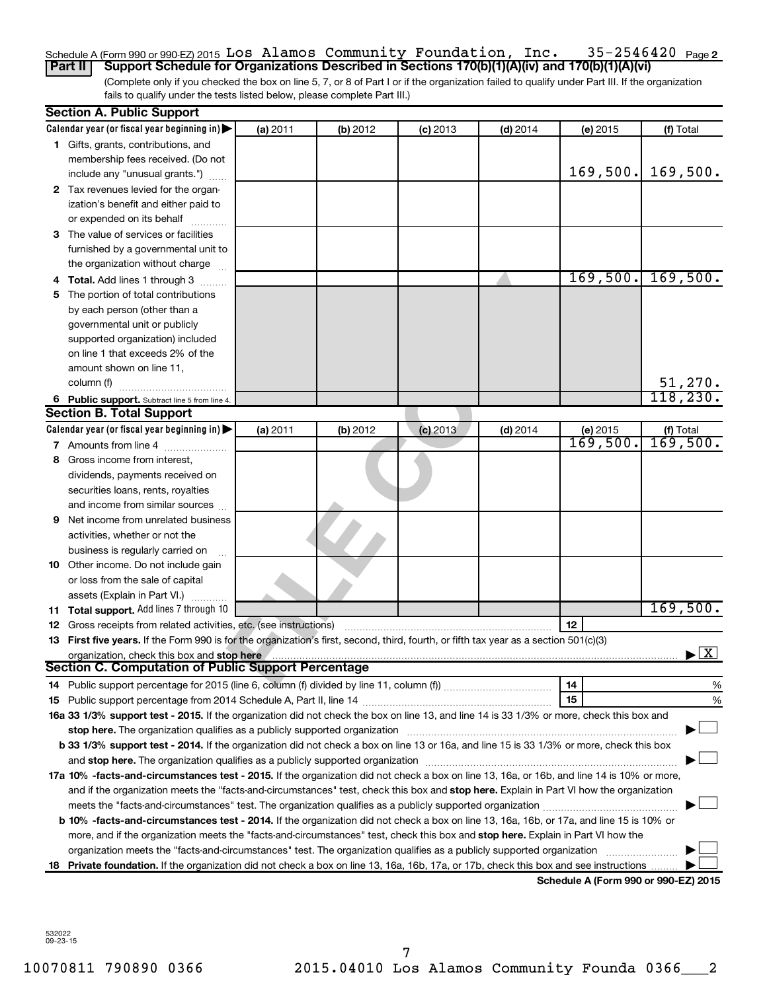#### 35-2546420 Page 2 Schedule A (Form 990 or 990-EZ) 2015 <code>Los Alamos Community Foundation, Inc.  $35$ – $2546420\,$  Page</code> **Part II Support Schedule for Organizations Described in Sections 170(b)(1)(A)(iv) and 170(b)(1)(A)(vi)**

(Complete only if you checked the box on line 5, 7, or 8 of Part I or if the organization failed to qualify under Part III. If the organization fails to qualify under the tests listed below, please complete Part III.)

| <b>Section A. Public Support</b>                                                                                                               |          |          |            |            |                                      |                                          |
|------------------------------------------------------------------------------------------------------------------------------------------------|----------|----------|------------|------------|--------------------------------------|------------------------------------------|
| Calendar year (or fiscal year beginning in)                                                                                                    | (a) 2011 | (b) 2012 | $(c)$ 2013 | $(d)$ 2014 | (e) 2015                             | (f) Total                                |
| 1 Gifts, grants, contributions, and                                                                                                            |          |          |            |            |                                      |                                          |
| membership fees received. (Do not                                                                                                              |          |          |            |            |                                      |                                          |
| include any "unusual grants.")                                                                                                                 |          |          |            |            | 169,500.                             | 169,500.                                 |
| 2 Tax revenues levied for the organ-                                                                                                           |          |          |            |            |                                      |                                          |
| ization's benefit and either paid to                                                                                                           |          |          |            |            |                                      |                                          |
| or expended on its behalf                                                                                                                      |          |          |            |            |                                      |                                          |
| 3 The value of services or facilities                                                                                                          |          |          |            |            |                                      |                                          |
| furnished by a governmental unit to                                                                                                            |          |          |            |            |                                      |                                          |
| the organization without charge                                                                                                                |          |          |            |            |                                      |                                          |
| 4 Total. Add lines 1 through 3                                                                                                                 |          |          |            |            | 169,500.                             | 169,500.                                 |
| 5 The portion of total contributions                                                                                                           |          |          |            |            |                                      |                                          |
| by each person (other than a                                                                                                                   |          |          |            |            |                                      |                                          |
| governmental unit or publicly                                                                                                                  |          |          |            |            |                                      |                                          |
| supported organization) included                                                                                                               |          |          |            |            |                                      |                                          |
| on line 1 that exceeds 2% of the                                                                                                               |          |          |            |            |                                      |                                          |
| amount shown on line 11,                                                                                                                       |          |          |            |            |                                      |                                          |
| column (f)                                                                                                                                     |          |          |            |            |                                      | 51,270.<br>118, 230.                     |
| 6 Public support. Subtract line 5 from line 4.<br><b>Section B. Total Support</b>                                                              |          |          |            |            |                                      |                                          |
| Calendar year (or fiscal year beginning in)                                                                                                    |          |          |            |            |                                      |                                          |
| 7 Amounts from line 4                                                                                                                          | (a) 2011 | (b) 2012 | $(c)$ 2013 | $(d)$ 2014 | (e) 2015<br>169,500.                 | (f) Total<br>169,500.                    |
| 8 Gross income from interest,                                                                                                                  |          |          |            |            |                                      |                                          |
| dividends, payments received on                                                                                                                |          |          |            |            |                                      |                                          |
| securities loans, rents, royalties                                                                                                             |          |          |            |            |                                      |                                          |
| and income from similar sources                                                                                                                |          |          |            |            |                                      |                                          |
| <b>9</b> Net income from unrelated business                                                                                                    |          |          |            |            |                                      |                                          |
| activities, whether or not the                                                                                                                 |          |          |            |            |                                      |                                          |
| business is regularly carried on                                                                                                               |          |          |            |            |                                      |                                          |
| 10 Other income. Do not include gain                                                                                                           |          |          |            |            |                                      |                                          |
| or loss from the sale of capital                                                                                                               |          |          |            |            |                                      |                                          |
| assets (Explain in Part VI.)                                                                                                                   |          |          |            |            |                                      |                                          |
| 11 Total support. Add lines 7 through 10                                                                                                       |          |          |            |            |                                      | 169,500.                                 |
| <b>12</b> Gross receipts from related activities, etc. (see instructions)                                                                      |          |          |            |            | 12                                   |                                          |
| 13 First five years. If the Form 990 is for the organization's first, second, third, fourth, or fifth tax year as a section 501(c)(3)          |          |          |            |            |                                      |                                          |
| organization, check this box and stop here                                                                                                     |          |          |            |            |                                      | $\blacktriangleright$ $\boxed{\text{X}}$ |
| Section C. Computation of Public Support Percentage                                                                                            |          |          |            |            |                                      |                                          |
|                                                                                                                                                |          |          |            |            | 14                                   | %                                        |
|                                                                                                                                                |          |          |            |            | 15                                   | %                                        |
| 16a 33 1/3% support test - 2015. If the organization did not check the box on line 13, and line 14 is 33 1/3% or more, check this box and      |          |          |            |            |                                      |                                          |
| stop here. The organization qualifies as a publicly supported organization                                                                     |          |          |            |            |                                      |                                          |
| b 33 1/3% support test - 2014. If the organization did not check a box on line 13 or 16a, and line 15 is 33 1/3% or more, check this box       |          |          |            |            |                                      |                                          |
|                                                                                                                                                |          |          |            |            |                                      |                                          |
| 17a 10% -facts-and-circumstances test - 2015. If the organization did not check a box on line 13, 16a, or 16b, and line 14 is 10% or more,     |          |          |            |            |                                      |                                          |
| and if the organization meets the "facts-and-circumstances" test, check this box and stop here. Explain in Part VI how the organization        |          |          |            |            |                                      |                                          |
|                                                                                                                                                |          |          |            |            |                                      |                                          |
| <b>b 10%</b> -facts-and-circumstances test - 2014. If the organization did not check a box on line 13, 16a, 16b, or 17a, and line 15 is 10% or |          |          |            |            |                                      |                                          |
| more, and if the organization meets the "facts-and-circumstances" test, check this box and stop here. Explain in Part VI how the               |          |          |            |            |                                      |                                          |
| organization meets the "facts-and-circumstances" test. The organization qualifies as a publicly supported organization                         |          |          |            |            |                                      |                                          |
| 18 Private foundation. If the organization did not check a box on line 13, 16a, 16b, 17a, or 17b, check this box and see instructions.         |          |          |            |            |                                      |                                          |
|                                                                                                                                                |          |          |            |            | Schedule A (Form 990 or 990-EZ) 2015 |                                          |

532022 09-23-15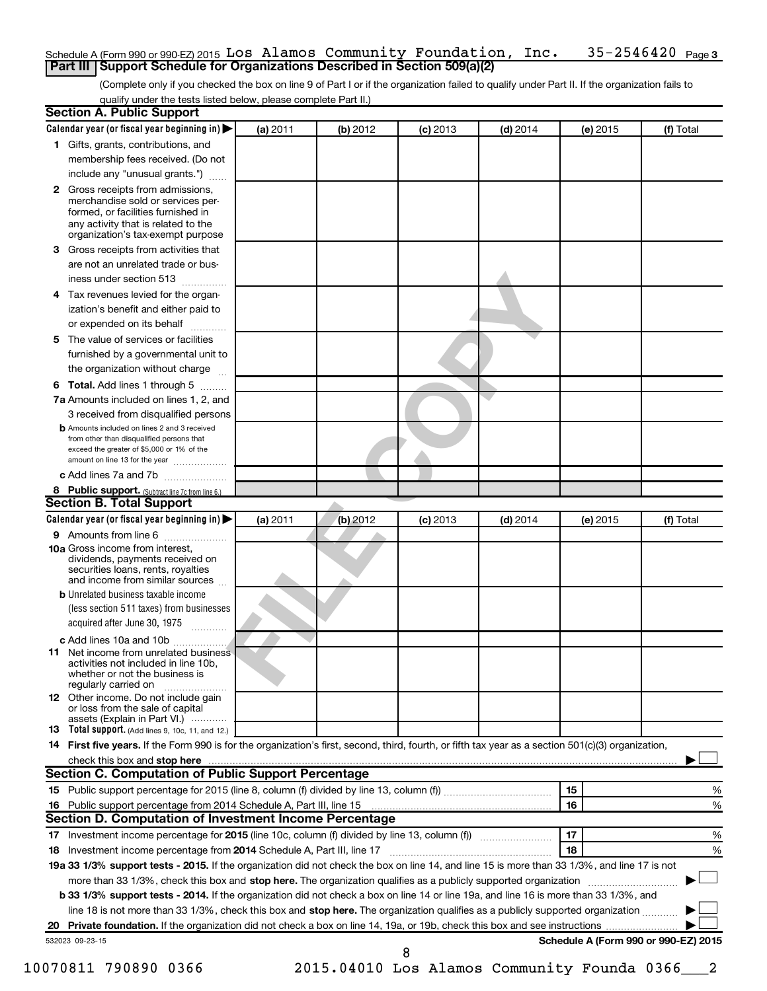#### $35 - 2546420$  Page 3 Schedule A (Form 990 or 990-EZ) 2015 <code>Los Alamos Community Foundation, Inc.  $35$ – $2546420\,$  Page</code> **Part III Support Schedule for Organizations Described in Section 509(a)(2)**

(Complete only if you checked the box on line 9 of Part I or if the organization failed to qualify under Part II. If the organization fails to qualify under the tests listed below, please complete Part II.)

| <b>Section A. Public Support</b>                                                                                                                                                                                                        |          |            |            |            |          |                                      |
|-----------------------------------------------------------------------------------------------------------------------------------------------------------------------------------------------------------------------------------------|----------|------------|------------|------------|----------|--------------------------------------|
| Calendar year (or fiscal year beginning in)                                                                                                                                                                                             | (a) 2011 | (b) 2012   | $(c)$ 2013 | $(d)$ 2014 | (e) 2015 | (f) Total                            |
| 1 Gifts, grants, contributions, and                                                                                                                                                                                                     |          |            |            |            |          |                                      |
| membership fees received. (Do not                                                                                                                                                                                                       |          |            |            |            |          |                                      |
| include any "unusual grants.")                                                                                                                                                                                                          |          |            |            |            |          |                                      |
| <b>2</b> Gross receipts from admissions,<br>merchandise sold or services per-<br>formed, or facilities furnished in<br>any activity that is related to the<br>organization's tax-exempt purpose                                         |          |            |            |            |          |                                      |
| 3 Gross receipts from activities that                                                                                                                                                                                                   |          |            |            |            |          |                                      |
| are not an unrelated trade or bus-                                                                                                                                                                                                      |          |            |            |            |          |                                      |
| iness under section 513                                                                                                                                                                                                                 |          |            |            |            |          |                                      |
| 4 Tax revenues levied for the organ-                                                                                                                                                                                                    |          |            |            |            |          |                                      |
| ization's benefit and either paid to                                                                                                                                                                                                    |          |            |            |            |          |                                      |
| or expended on its behalf<br>.                                                                                                                                                                                                          |          |            |            |            |          |                                      |
| 5 The value of services or facilities                                                                                                                                                                                                   |          |            |            |            |          |                                      |
| furnished by a governmental unit to                                                                                                                                                                                                     |          |            |            |            |          |                                      |
| the organization without charge                                                                                                                                                                                                         |          |            |            |            |          |                                      |
| 6 Total. Add lines 1 through 5                                                                                                                                                                                                          |          |            |            |            |          |                                      |
| 7a Amounts included on lines 1, 2, and                                                                                                                                                                                                  |          |            |            |            |          |                                      |
| 3 received from disqualified persons                                                                                                                                                                                                    |          |            |            |            |          |                                      |
| <b>b</b> Amounts included on lines 2 and 3 received<br>from other than disqualified persons that<br>exceed the greater of \$5,000 or 1% of the<br>amount on line 13 for the year                                                        |          |            |            |            |          |                                      |
| c Add lines 7a and 7b                                                                                                                                                                                                                   |          |            |            |            |          |                                      |
| 8 Public support. (Subtract line 7c from line 6.)                                                                                                                                                                                       |          |            |            |            |          |                                      |
| <b>Section B. Total Support</b>                                                                                                                                                                                                         |          |            |            |            |          |                                      |
| Calendar year (or fiscal year beginning in)                                                                                                                                                                                             | (a) 2011 | $(b)$ 2012 | $(c)$ 2013 | $(d)$ 2014 | (e) 2015 | (f) Total                            |
| 9 Amounts from line 6                                                                                                                                                                                                                   |          |            |            |            |          |                                      |
| <b>10a</b> Gross income from interest,<br>dividends, payments received on<br>securities loans, rents, royalties<br>and income from similar sources                                                                                      |          |            |            |            |          |                                      |
| <b>b</b> Unrelated business taxable income                                                                                                                                                                                              |          |            |            |            |          |                                      |
| (less section 511 taxes) from businesses                                                                                                                                                                                                |          |            |            |            |          |                                      |
| acquired after June 30, 1975                                                                                                                                                                                                            |          |            |            |            |          |                                      |
| <b>c</b> Add lines 10a and 10b                                                                                                                                                                                                          |          |            |            |            |          |                                      |
| <b>11</b> Net income from unrelated business<br>activities not included in line 10b.<br>whether or not the business is<br>regularly carried on                                                                                          |          |            |            |            |          |                                      |
| 12 Other income. Do not include gain<br>or loss from the sale of capital<br>assets (Explain in Part VI.)                                                                                                                                |          |            |            |            |          |                                      |
| <b>13</b> Total support. (Add lines 9, 10c, 11, and 12.)                                                                                                                                                                                |          |            |            |            |          |                                      |
| 14 First five years. If the Form 990 is for the organization's first, second, third, fourth, or fifth tax year as a section 501(c)(3) organization,                                                                                     |          |            |            |            |          |                                      |
| check this box and stop here <b>contained and the contained and stop here</b> check this box and stop here <b>contained and the contained and stop here</b> contained and stop here contained and and stop here contained and stop here |          |            |            |            |          |                                      |
| Section C. Computation of Public Support Percentage                                                                                                                                                                                     |          |            |            |            |          |                                      |
|                                                                                                                                                                                                                                         |          |            |            |            | 15       | ℅                                    |
|                                                                                                                                                                                                                                         |          |            |            |            | 16       | %                                    |
| Section D. Computation of Investment Income Percentage                                                                                                                                                                                  |          |            |            |            |          |                                      |
|                                                                                                                                                                                                                                         |          |            |            |            | 17       | %                                    |
| 18 Investment income percentage from 2014 Schedule A, Part III, line 17                                                                                                                                                                 |          |            |            |            | 18       | %                                    |
| 19a 33 1/3% support tests - 2015. If the organization did not check the box on line 14, and line 15 is more than 33 1/3%, and line 17 is not                                                                                            |          |            |            |            |          |                                      |
| more than 33 1/3%, check this box and stop here. The organization qualifies as a publicly supported organization                                                                                                                        |          |            |            |            |          |                                      |
| b 33 1/3% support tests - 2014. If the organization did not check a box on line 14 or line 19a, and line 16 is more than 33 1/3%, and                                                                                                   |          |            |            |            |          |                                      |
| line 18 is not more than 33 1/3%, check this box and stop here. The organization qualifies as a publicly supported organization                                                                                                         |          |            |            |            |          |                                      |
|                                                                                                                                                                                                                                         |          |            |            |            |          |                                      |
| 532023 09-23-15                                                                                                                                                                                                                         |          |            |            |            |          | Schedule A (Form 990 or 990-EZ) 2015 |
|                                                                                                                                                                                                                                         |          |            | 8          |            |          |                                      |

<sup>10070811 790890 0366 2015.04010</sup> Los Alamos Community Founda 0366\_\_\_2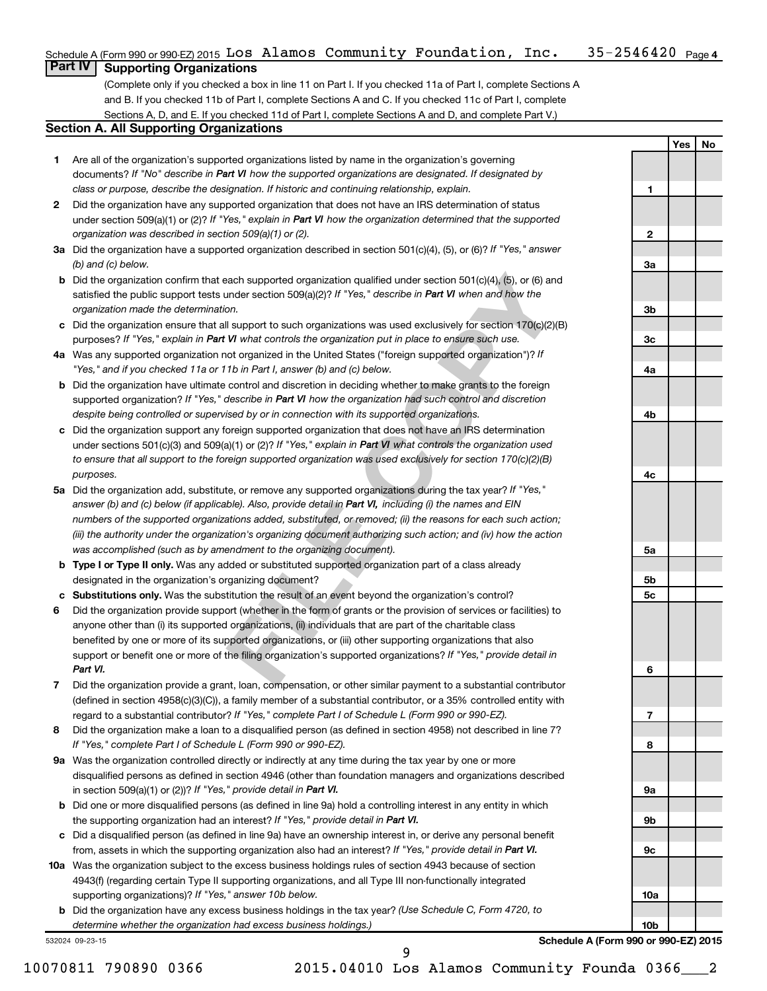## Schedule A (Form 990 or 990-EZ) 2015 <code>Los Alamos Community Foundation, Inc. 35-2546420 Page 4</code> **Part IV Supporting Organizations**

(Complete only if you checked a box in line 11 on Part I. If you checked 11a of Part I, complete Sections A and B. If you checked 11b of Part I, complete Sections A and C. If you checked 11c of Part I, complete Sections A, D, and E. If you checked 11d of Part I, complete Sections A and D, and complete Part V.)

## **Section A. All Supporting Organizations**

- documents? If "No" describe in Part VI how the supported organizations are designated. If designated by *class or purpose, describe the designation. If historic and continuing relationship, explain.* 1 Are all of the organization's supported organizations listed by name in the organization's governing
- under section 509(a)(1) or (2)? If "Yes," explain in Part VI how the organization determined that the supported *organization was described in section 509(a)(1) or (2).* 2 Did the organization have any supported organization that does not have an IRS determination of status
- Did the organization have a supported organization described in section 501(c)(4), (5), or (6)? If "Yes," answer *(b) and (c) below.*
- satisfied the public support tests under section 509(a)(2)? If "Yes," describe in Part VI when and how the *organization made the determination.* b Did the organization confirm that each supported organization qualified under section 501(c)(4), (5), or (6) and
- purposes? If "Yes," explain in Part VI what controls the organization put in place to ensure such use.  $c$  Did the organization ensure that all support to such organizations was used exclusively for section 170(c)(2)(B)
- Was any supported organization not organized in the United States ("foreign supported organization")? If *"Yes," and if you checked 11a or 11b in Part I, answer (b) and (c) below.*
- supported organization? If "Yes," describe in Part VI how the organization had such control and discretion *despite being controlled or supervised by or in connection with its supported organizations.* **b** Did the organization have ultimate control and discretion in deciding whether to make grants to the foreign
- under sections 501(c)(3) and 509(a)(1) or (2)? If "Yes," explain in Part VI what controls the organization used *to ensure that all support to the foreign supported organization was used exclusively for section 170(c)(2)(B) purposes.* Did the organization support any foreign supported organization that does not have an IRS determination
- **FILE COPY abcabcabcabcab** Did the organization add, substitute, or remove any supported organizations during the tax year? If "Yes," answer (b) and (c) below (if applicable). Also, provide detail in Part VI, including (i) the names and EIN *numbers of the supported organizations added, substituted, or removed; (ii) the reasons for each such action; (iii) the authority under the organization's organizing document authorizing such action; and (iv) how the action was accomplished (such as by amendment to the organizing document).*
- **Type I or Type II only.** Was any added or substituted supported organization part of a class already designated in the organization's organizing document?
- Substitutions only. Was the substitution the result of an event beyond the organization's control?
- 1 2 3 4 5 6 7 8 <del>9</del> support or benefit one or more of the filing organization's supported organizations? If "Yes," provide detail in Did the organization provide support (whether in the form of grants or the provision of services or facilities) to anyone other than (i) its supported organizations, (ii) individuals that are part of the charitable class benefited by one or more of its supported organizations, or (iii) other supporting organizations that also *Part VI.*
- regard to a substantial contributor? If "Yes," complete Part I of Schedule L (Form 990 or 990-EZ). Did the organization provide a grant, loan, compensation, or other similar payment to a substantial contributor (defined in section 4958(c)(3)(C)), a family member of a substantial contributor, or a 35% controlled entity with
- *If "Yes," complete Part I of Schedule L (Form 990 or 990-EZ).* 8 Did the organization make a loan to a disqualified person (as defined in section 4958) not described in line 7?
- in section 509(a)(1) or (2))? If "Yes," provide detail in Part VI. 9a Was the organization controlled directly or indirectly at any time during the tax year by one or more disqualified persons as defined in section 4946 (other than foundation managers and organizations described
- the supporting organization had an interest? If "Yes," provide detail in Part VI. **b** Did one or more disqualified persons (as defined in line 9a) hold a controlling interest in any entity in which
- from, assets in which the supporting organization also had an interest? If "Yes," provide detail in Part VI. Did a disqualified person (as defined in line 9a) have an ownership interest in, or derive any personal benefit
- **10** Was the organization subject to the excess business holdings rules of section 4943 because of section supporting organizations)? If "Yes," answer 10b below. 4943(f) (regarding certain Type II supporting organizations, and all Type III non-functionally integrated
	- *(Use Schedule C, Form 4720, to* Did the organization have any excess business holdings in the tax year? *determine whether the organization had excess business holdings.)*

532024 09-23-15

**Schedule A (Form 990 or 990-EZ) 2015**

**Yes No**

**12**

 $\overline{2}$ 

 $\blacksquare$ 

**3a**

**3b**

**3c**

**4a**

**4b**

**4c**

**5a**

**5b**

5c

**5c**<br>**6**<br>**7**<br>**8** 

 $\overline{7}$ 

8

6

**9a**

**9b**

**9c**

**10a**

**10b**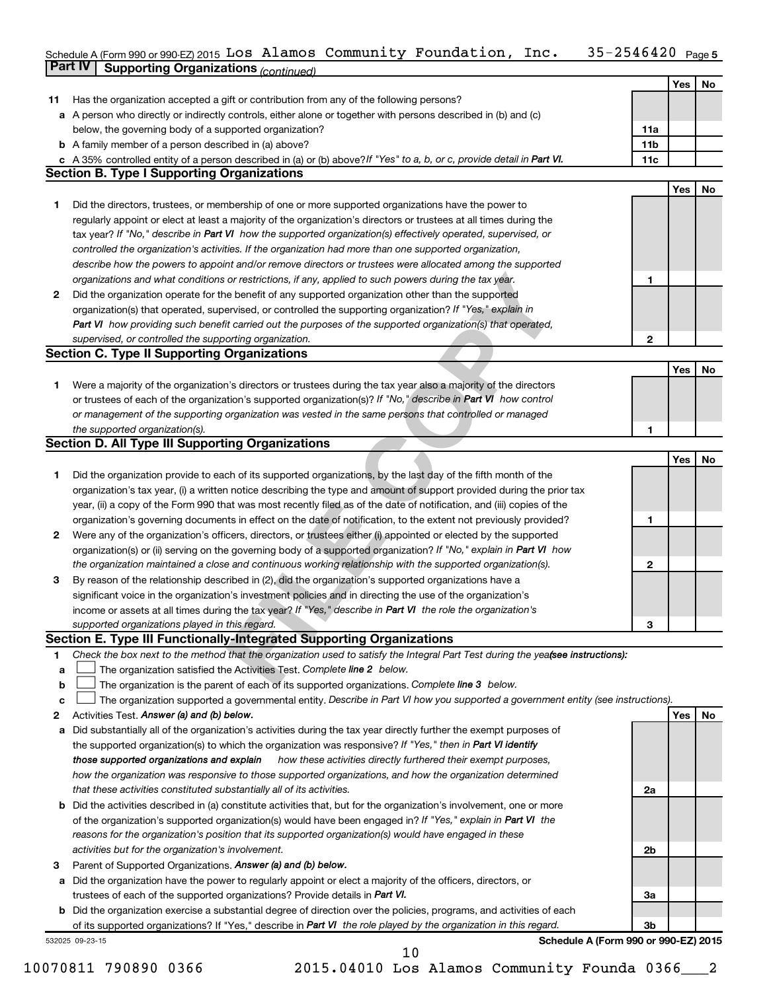#### Schedule A (Form 990 or 990-EZ) 2015 LOS AlamOS COmmunity Foundation, Inc. 35-254642U Page 5 **Part IV Supporting Organizations** *(continued)* Los Alamos Community Foundation, Inc. 35-2546420

|    | <u>communed</u> of same and recommunities                                                                                       |                |     |    |
|----|---------------------------------------------------------------------------------------------------------------------------------|----------------|-----|----|
|    |                                                                                                                                 |                | Yes | No |
| 11 | Has the organization accepted a gift or contribution from any of the following persons?                                         |                |     |    |
|    | a A person who directly or indirectly controls, either alone or together with persons described in (b) and (c)                  |                |     |    |
|    | below, the governing body of a supported organization?                                                                          | 11a            |     |    |
|    | <b>b</b> A family member of a person described in (a) above?                                                                    | 11b            |     |    |
|    | c A 35% controlled entity of a person described in (a) or (b) above? If "Yes" to a, b, or c, provide detail in Part VI.         | 11c            |     |    |
|    | <b>Section B. Type I Supporting Organizations</b>                                                                               |                |     |    |
|    |                                                                                                                                 |                | Yes | No |
| 1. | Did the directors, trustees, or membership of one or more supported organizations have the power to                             |                |     |    |
|    | regularly appoint or elect at least a majority of the organization's directors or trustees at all times during the              |                |     |    |
|    | tax year? If "No," describe in Part VI how the supported organization(s) effectively operated, supervised, or                   |                |     |    |
|    | controlled the organization's activities. If the organization had more than one supported organization,                         |                |     |    |
|    | describe how the powers to appoint and/or remove directors or trustees were allocated among the supported                       |                |     |    |
|    | organizations and what conditions or restrictions, if any, applied to such powers during the tax year.                          | 1              |     |    |
| 2  | Did the organization operate for the benefit of any supported organization other than the supported                             |                |     |    |
|    | organization(s) that operated, supervised, or controlled the supporting organization? If "Yes," explain in                      |                |     |    |
|    | Part VI how providing such benefit carried out the purposes of the supported organization(s) that operated,                     |                |     |    |
|    | supervised, or controlled the supporting organization.                                                                          | $\mathbf{2}$   |     |    |
|    | <b>Section C. Type II Supporting Organizations</b>                                                                              |                |     |    |
|    |                                                                                                                                 |                | Yes | No |
| 1. | Were a majority of the organization's directors or trustees during the tax year also a majority of the directors                |                |     |    |
|    | or trustees of each of the organization's supported organization(s)? If "No," describe in Part VI how control                   |                |     |    |
|    | or management of the supporting organization was vested in the same persons that controlled or managed                          |                |     |    |
|    | the supported organization(s).                                                                                                  | 1              |     |    |
|    | <b>Section D. All Type III Supporting Organizations</b>                                                                         |                |     |    |
|    |                                                                                                                                 |                | Yes | No |
| 1  | Did the organization provide to each of its supported organizations, by the last day of the fifth month of the                  |                |     |    |
|    | organization's tax year, (i) a written notice describing the type and amount of support provided during the prior tax           |                |     |    |
|    | year, (ii) a copy of the Form 990 that was most recently filed as of the date of notification, and (iii) copies of the          |                |     |    |
|    | organization's governing documents in effect on the date of notification, to the extent not previously provided?                | 1              |     |    |
| 2  | Were any of the organization's officers, directors, or trustees either (i) appointed or elected by the supported                |                |     |    |
|    | organization(s) or (ii) serving on the governing body of a supported organization? If "No," explain in Part VI how              |                |     |    |
|    | the organization maintained a close and continuous working relationship with the supported organization(s).                     | 2              |     |    |
| 3  | By reason of the relationship described in (2), did the organization's supported organizations have a                           |                |     |    |
|    | significant voice in the organization's investment policies and in directing the use of the organization's                      |                |     |    |
|    | income or assets at all times during the tax year? If "Yes," describe in Part VI the role the organization's                    |                |     |    |
|    | supported organizations played in this regard.                                                                                  | з              |     |    |
|    | Section E. Type III Functionally-Integrated Supporting Organizations                                                            |                |     |    |
| 1  | Check the box next to the method that the organization used to satisfy the Integral Part Test during the yeafsee instructions): |                |     |    |
| а  | The organization satisfied the Activities Test. Complete line 2 below.                                                          |                |     |    |
| b  | The organization is the parent of each of its supported organizations. Complete line 3 below.                                   |                |     |    |
| с  | The organization supported a governmental entity. Describe in Part VI how you supported a government entity (see instructions). |                |     |    |
| 2  | Activities Test. Answer (a) and (b) below.                                                                                      |                | Yes | No |
| а  | Did substantially all of the organization's activities during the tax year directly further the exempt purposes of              |                |     |    |
|    | the supported organization(s) to which the organization was responsive? If "Yes," then in Part VI identify                      |                |     |    |
|    | those supported organizations and explain<br>how these activities directly furthered their exempt purposes,                     |                |     |    |
|    | how the organization was responsive to those supported organizations, and how the organization determined                       |                |     |    |
|    | that these activities constituted substantially all of its activities.                                                          | 2a             |     |    |
| b  | Did the activities described in (a) constitute activities that, but for the organization's involvement, one or more             |                |     |    |
|    | of the organization's supported organization(s) would have been engaged in? If "Yes," explain in Part VI the                    |                |     |    |
|    | reasons for the organization's position that its supported organization(s) would have engaged in these                          |                |     |    |
|    | activities but for the organization's involvement.                                                                              | 2b             |     |    |
| 3  | Parent of Supported Organizations. Answer (a) and (b) below.                                                                    |                |     |    |
| а  | Did the organization have the power to regularly appoint or elect a majority of the officers, directors, or                     |                |     |    |
|    | trustees of each of the supported organizations? Provide details in Part VI.                                                    | За             |     |    |
|    | <b>b</b> Did the organization exercise a substantial degree of direction over the policies, programs, and activities of each    |                |     |    |
|    | of its supported organizations? If "Yes," describe in Part VI the role played by the organization in this regard.               | 3 <sub>b</sub> |     |    |
|    | Schedule A (Form 990 or 990-EZ) 2015<br>532025 09-23-15                                                                         |                |     |    |
|    | 10                                                                                                                              |                |     |    |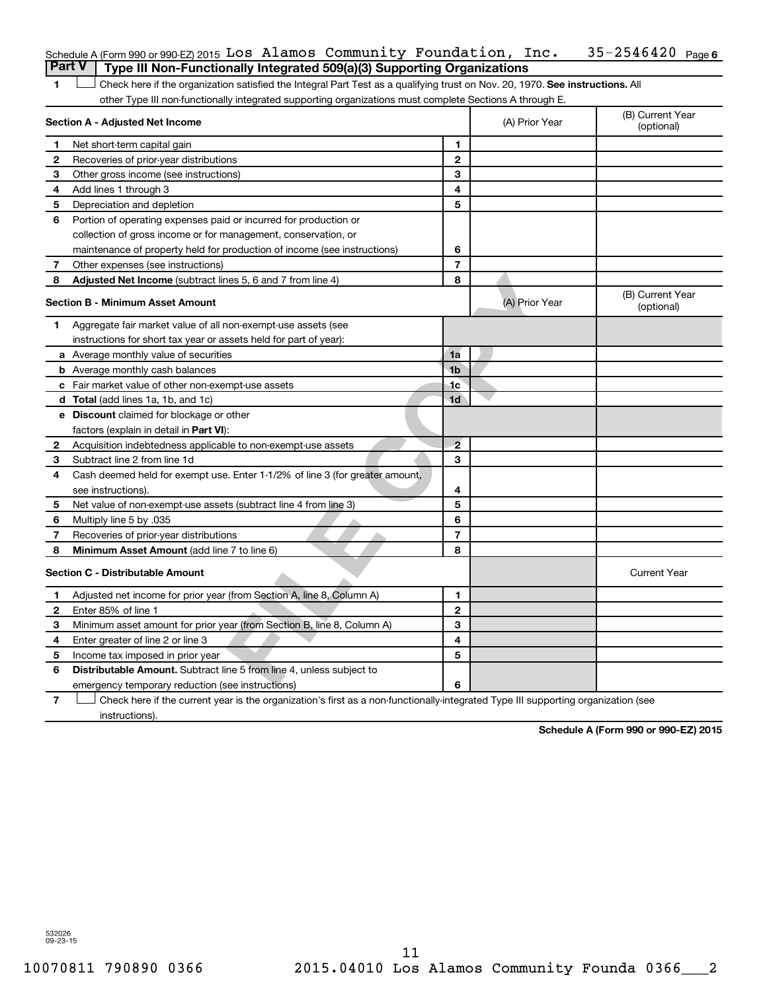|  |  | Schedule A (Form 990 or 990 EZ) 2015 $\,$ LOS $\,$ A $1$ amos $\,$ Community $\,$ Foun $\,$ dation, $\,$ Inc. | 35-2546420 <sub>Page 6</sub> |  |
|--|--|---------------------------------------------------------------------------------------------------------------|------------------------------|--|
|  |  | Part V   Type III Non-Functionally Integrated 509(a)(3) Supporting Organizations                              |                              |  |

| 1              | Check here if the organization satisfied the Integral Part Test as a qualifying trust on Nov. 20, 1970. See instructions. All<br>other Type III non-functionally integrated supporting organizations must complete Sections A through E. |                |                |                                |
|----------------|------------------------------------------------------------------------------------------------------------------------------------------------------------------------------------------------------------------------------------------|----------------|----------------|--------------------------------|
|                | Section A - Adjusted Net Income                                                                                                                                                                                                          |                | (A) Prior Year | (B) Current Year<br>(optional) |
| 1              | Net short-term capital gain                                                                                                                                                                                                              | 1              |                |                                |
| $\mathbf{2}$   | Recoveries of prior-year distributions                                                                                                                                                                                                   | $\mathbf{2}$   |                |                                |
| 3              | Other gross income (see instructions)                                                                                                                                                                                                    | 3              |                |                                |
| 4              | Add lines 1 through 3                                                                                                                                                                                                                    | 4              |                |                                |
| 5              | Depreciation and depletion                                                                                                                                                                                                               | 5              |                |                                |
| 6              | Portion of operating expenses paid or incurred for production or                                                                                                                                                                         |                |                |                                |
|                | collection of gross income or for management, conservation, or                                                                                                                                                                           |                |                |                                |
|                | maintenance of property held for production of income (see instructions)                                                                                                                                                                 | 6              |                |                                |
| 7              | Other expenses (see instructions)                                                                                                                                                                                                        | $\overline{7}$ |                |                                |
| 8              | Adjusted Net Income (subtract lines 5, 6 and 7 from line 4)                                                                                                                                                                              | 8              |                |                                |
|                | <b>Section B - Minimum Asset Amount</b>                                                                                                                                                                                                  |                | (A) Prior Year | (B) Current Year<br>(optional) |
| 1.             | Aggregate fair market value of all non-exempt-use assets (see                                                                                                                                                                            |                |                |                                |
|                | instructions for short tax year or assets held for part of year):                                                                                                                                                                        |                |                |                                |
|                | a Average monthly value of securities                                                                                                                                                                                                    | 1a             |                |                                |
|                | <b>b</b> Average monthly cash balances                                                                                                                                                                                                   | 1 <sub>b</sub> |                |                                |
|                | c Fair market value of other non-exempt-use assets                                                                                                                                                                                       | 1c`            |                |                                |
|                | <b>d</b> Total (add lines 1a, 1b, and 1c)                                                                                                                                                                                                | 1 <sub>d</sub> |                |                                |
|                | <b>e</b> Discount claimed for blockage or other                                                                                                                                                                                          |                |                |                                |
|                | factors (explain in detail in Part VI):                                                                                                                                                                                                  |                |                |                                |
| 2              | Acquisition indebtedness applicable to non-exempt-use assets                                                                                                                                                                             | $\overline{2}$ |                |                                |
| З              | Subtract line 2 from line 1d                                                                                                                                                                                                             | 3              |                |                                |
| 4              | Cash deemed held for exempt use. Enter 1-1/2% of line 3 (for greater amount,                                                                                                                                                             |                |                |                                |
|                | see instructions).                                                                                                                                                                                                                       | 4              |                |                                |
| 5              | Net value of non-exempt-use assets (subtract line 4 from line 3)                                                                                                                                                                         | 5              |                |                                |
| 6              | Multiply line 5 by .035                                                                                                                                                                                                                  | 6              |                |                                |
| 7              | Recoveries of prior-year distributions                                                                                                                                                                                                   | 7              |                |                                |
| 8              | Minimum Asset Amount (add line 7 to line 6)                                                                                                                                                                                              | 8              |                |                                |
|                | <b>Section C - Distributable Amount</b>                                                                                                                                                                                                  |                |                | <b>Current Year</b>            |
| 1              | Adjusted net income for prior year (from Section A, line 8, Column A)                                                                                                                                                                    | $\mathbf{1}$   |                |                                |
| 2              | Enter 85% of line 1                                                                                                                                                                                                                      | $\mathbf{2}$   |                |                                |
| 3              | Minimum asset amount for prior year (from Section B, line 8, Column A)                                                                                                                                                                   | 3              |                |                                |
| 4              | Enter greater of line 2 or line 3                                                                                                                                                                                                        | 4              |                |                                |
| 5              | Income tax imposed in prior year                                                                                                                                                                                                         | 5              |                |                                |
| 6              | <b>Distributable Amount.</b> Subtract line 5 from line 4, unless subject to                                                                                                                                                              |                |                |                                |
|                | emergency temporary reduction (see instructions)                                                                                                                                                                                         | 6              |                |                                |
| $\overline{7}$ | Check here if the current year is the organization's first as a non-functionally-integrated Type III supporting organization (see                                                                                                        |                |                |                                |

instructions).

**Schedule A (Form 990 or 990-EZ) 2015**

532026 09-23-15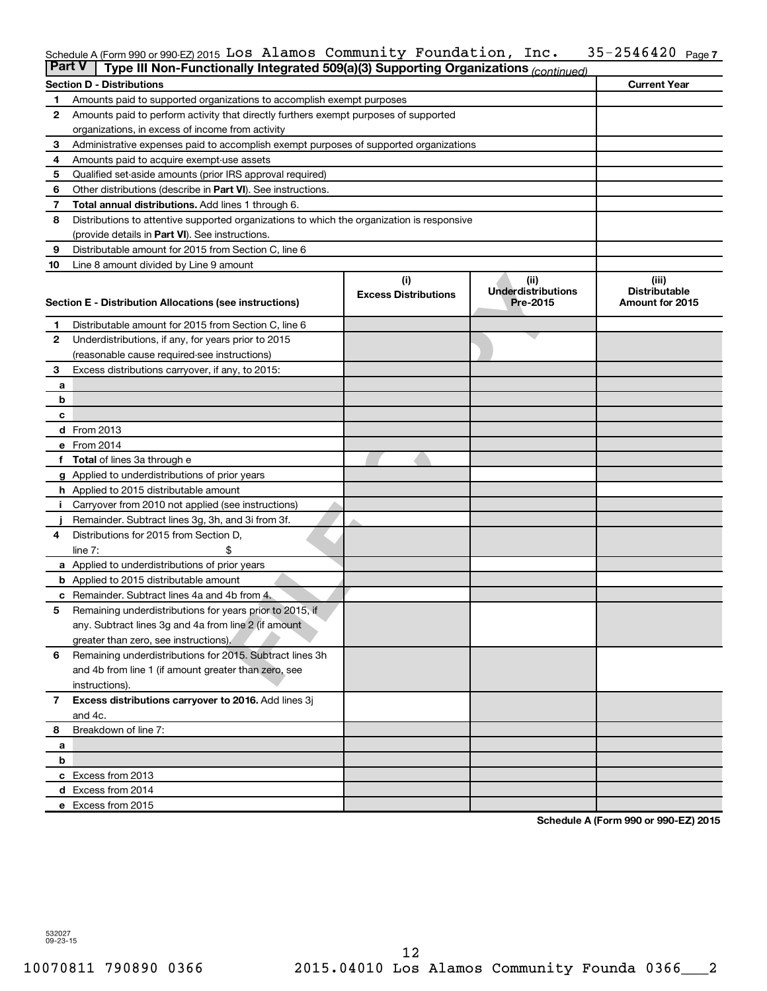#### 35-2546420 Page 7 Schedule A (Form 990 or 990-EZ) 2015 LOS ALAMOS COMMUNITY FOUNDATION, INC.  $35-2546420$  Page Los Alamos Community Foundation, Inc. 35-2546420

| <b>Part V</b>  | Type III Non-Functionally Integrated 509(a)(3) Supporting Organizations (continued)        |                             |                           |                      |
|----------------|--------------------------------------------------------------------------------------------|-----------------------------|---------------------------|----------------------|
|                | <b>Section D - Distributions</b>                                                           |                             |                           | <b>Current Year</b>  |
| 1              | Amounts paid to supported organizations to accomplish exempt purposes                      |                             |                           |                      |
| 2              | Amounts paid to perform activity that directly furthers exempt purposes of supported       |                             |                           |                      |
|                | organizations, in excess of income from activity                                           |                             |                           |                      |
| 3              | Administrative expenses paid to accomplish exempt purposes of supported organizations      |                             |                           |                      |
| 4              | Amounts paid to acquire exempt-use assets                                                  |                             |                           |                      |
| 5              | Qualified set-aside amounts (prior IRS approval required)                                  |                             |                           |                      |
| 6              | Other distributions (describe in Part VI). See instructions.                               |                             |                           |                      |
| 7              | Total annual distributions. Add lines 1 through 6.                                         |                             |                           |                      |
| 8              | Distributions to attentive supported organizations to which the organization is responsive |                             |                           |                      |
|                | (provide details in Part VI). See instructions.                                            |                             |                           |                      |
| 9              | Distributable amount for 2015 from Section C, line 6                                       |                             |                           |                      |
| 10             | Line 8 amount divided by Line 9 amount                                                     |                             |                           |                      |
|                |                                                                                            | (i)                         | (ii)                      | (iii)                |
|                |                                                                                            | <b>Excess Distributions</b> | <b>Underdistributions</b> | <b>Distributable</b> |
|                | Section E - Distribution Allocations (see instructions)                                    |                             | Pre-2015                  | Amount for 2015      |
| 1              | Distributable amount for 2015 from Section C, line 6                                       |                             |                           |                      |
| 2              | Underdistributions, if any, for years prior to 2015                                        |                             |                           |                      |
|                | (reasonable cause required-see instructions)                                               |                             |                           |                      |
| 3              | Excess distributions carryover, if any, to 2015:                                           |                             |                           |                      |
| а              |                                                                                            |                             |                           |                      |
| b              |                                                                                            |                             |                           |                      |
| с              |                                                                                            |                             |                           |                      |
|                | d From 2013                                                                                |                             |                           |                      |
|                | e From 2014                                                                                |                             |                           |                      |
|                | <b>Total</b> of lines 3a through e                                                         |                             |                           |                      |
|                | <b>g</b> Applied to underdistributions of prior years                                      |                             |                           |                      |
|                | <b>h</b> Applied to 2015 distributable amount                                              |                             |                           |                      |
|                | Carryover from 2010 not applied (see instructions)                                         |                             |                           |                      |
|                | Remainder. Subtract lines 3g, 3h, and 3i from 3f.                                          |                             |                           |                      |
| 4              | Distributions for 2015 from Section D,                                                     |                             |                           |                      |
|                | line $7:$                                                                                  |                             |                           |                      |
|                | a Applied to underdistributions of prior years                                             |                             |                           |                      |
|                | <b>b</b> Applied to 2015 distributable amount                                              |                             |                           |                      |
| с              | Remainder. Subtract lines 4a and 4b from 4.                                                |                             |                           |                      |
| 5              | Remaining underdistributions for years prior to 2015, if                                   |                             |                           |                      |
|                | any. Subtract lines 3g and 4a from line 2 (if amount                                       |                             |                           |                      |
|                | greater than zero, see instructions),                                                      |                             |                           |                      |
| 6              | Remaining underdistributions for 2015. Subtract lines 3h                                   |                             |                           |                      |
|                | and 4b from line 1 (if amount greater than zero, see                                       |                             |                           |                      |
|                | instructions).                                                                             |                             |                           |                      |
| $\overline{7}$ | Excess distributions carryover to 2016. Add lines 3j                                       |                             |                           |                      |
|                | and 4c.                                                                                    |                             |                           |                      |
| 8              | Breakdown of line 7:                                                                       |                             |                           |                      |
| а              |                                                                                            |                             |                           |                      |
| b              |                                                                                            |                             |                           |                      |
|                | c Excess from 2013                                                                         |                             |                           |                      |
|                | d Excess from 2014                                                                         |                             |                           |                      |
|                | e Excess from 2015                                                                         |                             |                           |                      |

**Schedule A (Form 990 or 990-EZ) 2015**

532027 09-23-15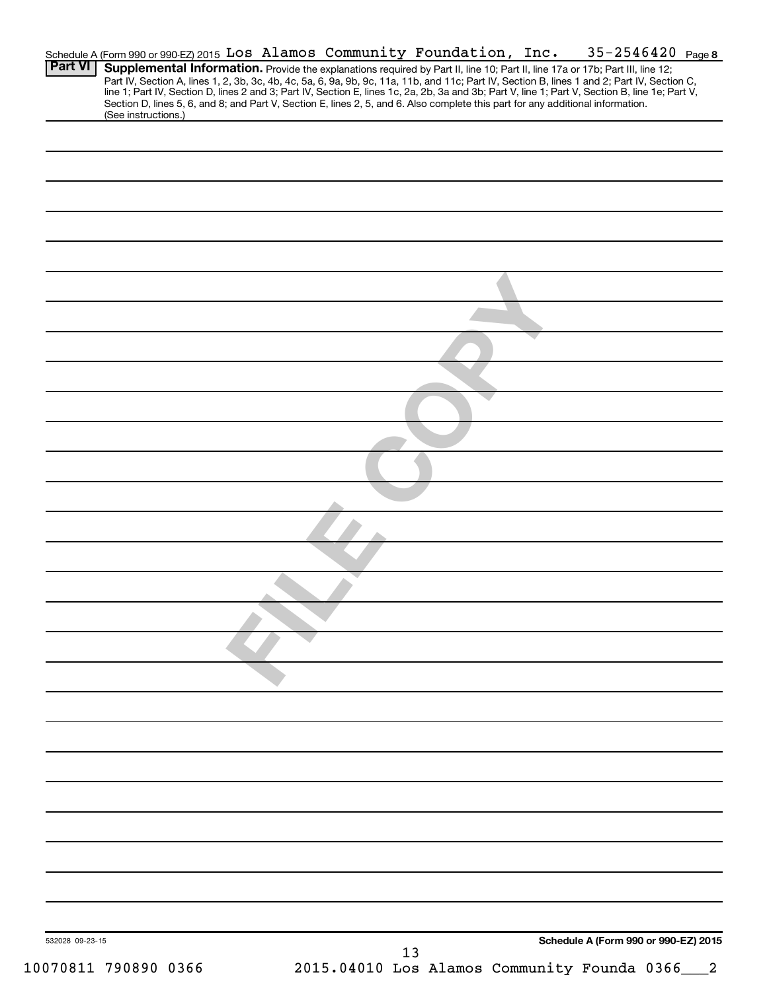|                 | Schedule A (Form 990 or 990-EZ) 2015 LOS Alamos Community Foundation, Inc.                                                      |  |    |  | $35 - 2546420$ Page 8                                                                                                                                                                                                                                                                                                                                                                                                            |
|-----------------|---------------------------------------------------------------------------------------------------------------------------------|--|----|--|----------------------------------------------------------------------------------------------------------------------------------------------------------------------------------------------------------------------------------------------------------------------------------------------------------------------------------------------------------------------------------------------------------------------------------|
| <b>Part VI</b>  | Section D, lines 5, 6, and 8; and Part V, Section E, lines 2, 5, and 6. Also complete this part for any additional information. |  |    |  | Supplemental Information. Provide the explanations required by Part II, line 10; Part II, line 17a or 17b; Part III, line 12;<br>Part IV, Section A, lines 1, 2, 3b, 3c, 4b, 4c, 5a, 6, 9a, 9b, 9c, 11a, 11b, and 11c; Part IV, Section B, lines 1 and 2; Part IV, Section C,<br>line 1; Part IV, Section D, lines 2 and 3; Part IV, Section E, lines 1c, 2a, 2b, 3a and 3b; Part V, line 1; Part V, Section B, line 1e; Part V, |
|                 | (See instructions.)                                                                                                             |  |    |  |                                                                                                                                                                                                                                                                                                                                                                                                                                  |
|                 |                                                                                                                                 |  |    |  |                                                                                                                                                                                                                                                                                                                                                                                                                                  |
|                 |                                                                                                                                 |  |    |  |                                                                                                                                                                                                                                                                                                                                                                                                                                  |
|                 |                                                                                                                                 |  |    |  |                                                                                                                                                                                                                                                                                                                                                                                                                                  |
|                 |                                                                                                                                 |  |    |  |                                                                                                                                                                                                                                                                                                                                                                                                                                  |
|                 |                                                                                                                                 |  |    |  |                                                                                                                                                                                                                                                                                                                                                                                                                                  |
|                 |                                                                                                                                 |  |    |  |                                                                                                                                                                                                                                                                                                                                                                                                                                  |
|                 |                                                                                                                                 |  |    |  |                                                                                                                                                                                                                                                                                                                                                                                                                                  |
|                 |                                                                                                                                 |  |    |  |                                                                                                                                                                                                                                                                                                                                                                                                                                  |
|                 |                                                                                                                                 |  |    |  |                                                                                                                                                                                                                                                                                                                                                                                                                                  |
|                 |                                                                                                                                 |  |    |  |                                                                                                                                                                                                                                                                                                                                                                                                                                  |
|                 |                                                                                                                                 |  |    |  |                                                                                                                                                                                                                                                                                                                                                                                                                                  |
|                 |                                                                                                                                 |  |    |  |                                                                                                                                                                                                                                                                                                                                                                                                                                  |
|                 |                                                                                                                                 |  |    |  |                                                                                                                                                                                                                                                                                                                                                                                                                                  |
|                 |                                                                                                                                 |  |    |  |                                                                                                                                                                                                                                                                                                                                                                                                                                  |
|                 |                                                                                                                                 |  |    |  |                                                                                                                                                                                                                                                                                                                                                                                                                                  |
|                 |                                                                                                                                 |  |    |  |                                                                                                                                                                                                                                                                                                                                                                                                                                  |
|                 |                                                                                                                                 |  |    |  |                                                                                                                                                                                                                                                                                                                                                                                                                                  |
|                 |                                                                                                                                 |  |    |  |                                                                                                                                                                                                                                                                                                                                                                                                                                  |
|                 |                                                                                                                                 |  |    |  |                                                                                                                                                                                                                                                                                                                                                                                                                                  |
|                 |                                                                                                                                 |  |    |  |                                                                                                                                                                                                                                                                                                                                                                                                                                  |
|                 |                                                                                                                                 |  |    |  |                                                                                                                                                                                                                                                                                                                                                                                                                                  |
|                 |                                                                                                                                 |  |    |  |                                                                                                                                                                                                                                                                                                                                                                                                                                  |
|                 |                                                                                                                                 |  |    |  |                                                                                                                                                                                                                                                                                                                                                                                                                                  |
|                 |                                                                                                                                 |  |    |  |                                                                                                                                                                                                                                                                                                                                                                                                                                  |
|                 |                                                                                                                                 |  |    |  |                                                                                                                                                                                                                                                                                                                                                                                                                                  |
|                 |                                                                                                                                 |  |    |  |                                                                                                                                                                                                                                                                                                                                                                                                                                  |
|                 |                                                                                                                                 |  |    |  |                                                                                                                                                                                                                                                                                                                                                                                                                                  |
|                 |                                                                                                                                 |  |    |  |                                                                                                                                                                                                                                                                                                                                                                                                                                  |
|                 |                                                                                                                                 |  |    |  |                                                                                                                                                                                                                                                                                                                                                                                                                                  |
|                 |                                                                                                                                 |  |    |  |                                                                                                                                                                                                                                                                                                                                                                                                                                  |
| 532028 09-23-15 |                                                                                                                                 |  |    |  | Schedule A (Form 990 or 990-EZ) 2015                                                                                                                                                                                                                                                                                                                                                                                             |
|                 |                                                                                                                                 |  | 13 |  |                                                                                                                                                                                                                                                                                                                                                                                                                                  |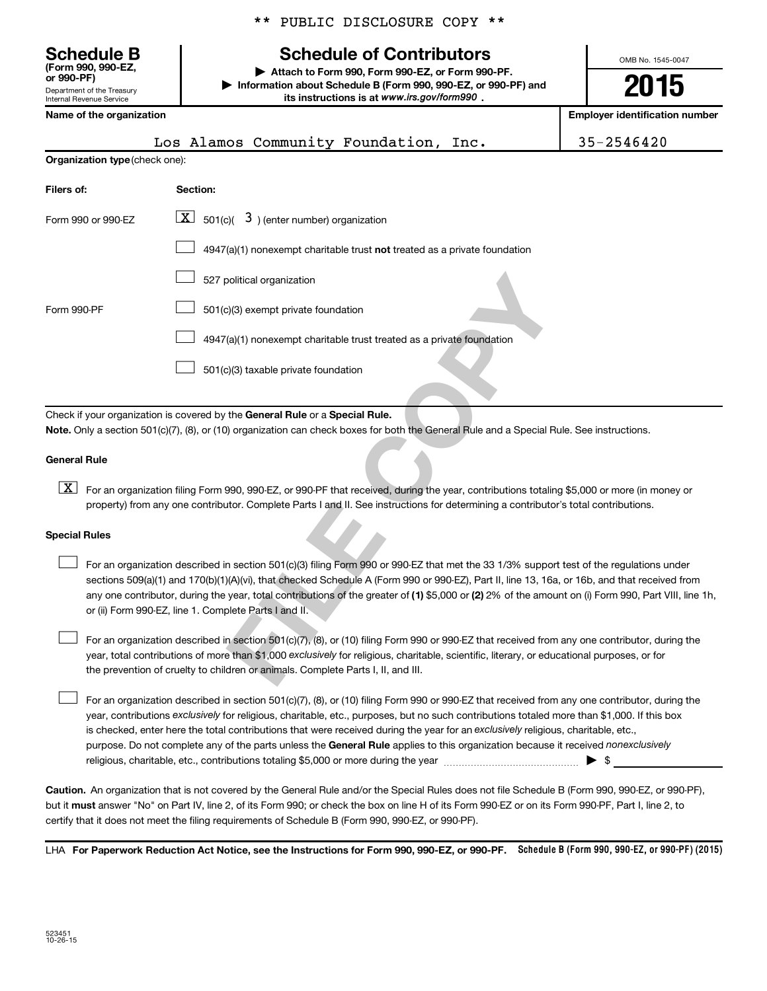\*\* PUBLIC DISCLOSURE COPY \*\*

# **Schedule B Schedule of Contributors**

**or 990-PF) | Attach to Form 990, Form 990-EZ, or Form 990-PF. | Information about Schedule B (Form 990, 990-EZ, or 990-PF) and its instructions is at .** *www.irs.gov/form990*

OMB No. 1545-0047 **2015**

| Department of the Treasury<br>Internal Revenue Service | its instructions is at www.irs.gov/form990.                                                                                                                                                                                                                                                                                                                                                                                                                                                              | LU IJ                                 |
|--------------------------------------------------------|----------------------------------------------------------------------------------------------------------------------------------------------------------------------------------------------------------------------------------------------------------------------------------------------------------------------------------------------------------------------------------------------------------------------------------------------------------------------------------------------------------|---------------------------------------|
| Name of the organization                               |                                                                                                                                                                                                                                                                                                                                                                                                                                                                                                          | <b>Employer identification number</b> |
|                                                        | Los Alamos Community Foundation, Inc.                                                                                                                                                                                                                                                                                                                                                                                                                                                                    | 35-2546420                            |
| Organization type (check one):                         |                                                                                                                                                                                                                                                                                                                                                                                                                                                                                                          |                                       |
| Filers of:                                             | Section:                                                                                                                                                                                                                                                                                                                                                                                                                                                                                                 |                                       |
| Form 990 or 990-EZ                                     | $\lfloor x \rfloor$ 501(c)( 3) (enter number) organization                                                                                                                                                                                                                                                                                                                                                                                                                                               |                                       |
|                                                        | 4947(a)(1) nonexempt charitable trust not treated as a private foundation                                                                                                                                                                                                                                                                                                                                                                                                                                |                                       |
|                                                        | 527 political organization                                                                                                                                                                                                                                                                                                                                                                                                                                                                               |                                       |
| Form 990-PF                                            | 501(c)(3) exempt private foundation                                                                                                                                                                                                                                                                                                                                                                                                                                                                      |                                       |
|                                                        | 4947(a)(1) nonexempt charitable trust treated as a private foundation                                                                                                                                                                                                                                                                                                                                                                                                                                    |                                       |
|                                                        | 501(c)(3) taxable private foundation                                                                                                                                                                                                                                                                                                                                                                                                                                                                     |                                       |
|                                                        |                                                                                                                                                                                                                                                                                                                                                                                                                                                                                                          |                                       |
|                                                        | Check if your organization is covered by the General Rule or a Special Rule.<br>Note. Only a section 501(c)(7), (8), or (10) organization can check boxes for both the General Rule and a Special Rule. See instructions.                                                                                                                                                                                                                                                                                |                                       |
| <b>General Rule</b>                                    |                                                                                                                                                                                                                                                                                                                                                                                                                                                                                                          |                                       |
| $\lfloor x \rfloor$                                    | For an organization filing Form 990, 990-EZ, or 990-PF that received, during the year, contributions totaling \$5,000 or more (in money or<br>property) from any one contributor. Complete Parts I and II. See instructions for determining a contributor's total contributions.                                                                                                                                                                                                                         |                                       |
| <b>Special Rules</b>                                   |                                                                                                                                                                                                                                                                                                                                                                                                                                                                                                          |                                       |
|                                                        | For an organization described in section 501(c)(3) filing Form 990 or 990-EZ that met the 33 1/3% support test of the regulations under<br>sections 509(a)(1) and 170(b)(1)(A)(vi), that checked Schedule A (Form 990 or 990-EZ), Part II, line 13, 16a, or 16b, and that received from<br>any one contributor, during the year, total contributions of the greater of (1) \$5,000 or (2) 2% of the amount on (i) Form 990, Part VIII, line 1h,<br>or (ii) Form 990-EZ, line 1. Complete Parts I and II. |                                       |
|                                                        | For an organization described in section 501(c)(7), (8), or (10) filing Form 990 or 990-EZ that received from any one contributor, during the<br>year, total contributions of more than \$1,000 exclusively for religious, charitable, scientific, literary, or educational purposes, or for<br>the prevention of cruelty to children or animals. Complete Parts I, II, and III.                                                                                                                         |                                       |

### **General Rule**

**(Form 990, 990-EZ,**

# **Special Rules**  $\begin{array}{c} \n\boxed{\text{z}}\n\end{array}$

purpose. Do not complete any of the parts unless the General Rule applies to this organization because it received nonexclusively year, contributions exclusively for religious, charitable, etc., purposes, but no such contributions totaled more than \$1,000. If this box is checked, enter here the total contributions that were received during the year for an exclusively religious, charitable, etc., For an organization described in section 501(c)(7), (8), or (10) filing Form 990 or 990-EZ that received from any one contributor, during the religious, charitable, etc., contributions totaling \$5,000 or more during the year ~~~~~~~~~~~~~~~  $\blacktriangleright$ \$

**Caution.** An organization that is not covered by the General Rule and/or the Special Rules does not file Schedule B (Form 990, 990-EZ, or 990-PF),  **must** but it answer "No" on Part IV, line 2, of its Form 990; or check the box on line H of its Form 990-EZ or on its Form 990-PF, Part I, line 2, to certify that it does not meet the filing requirements of Schedule B (Form 990, 990-EZ, or 990-PF).

LHA For Paperwork Reduction Act Notice, see the Instructions for Form 990, 990-EZ, or 990-PF. Schedule B (Form 990, 990-EZ, or 990-PF) (2015)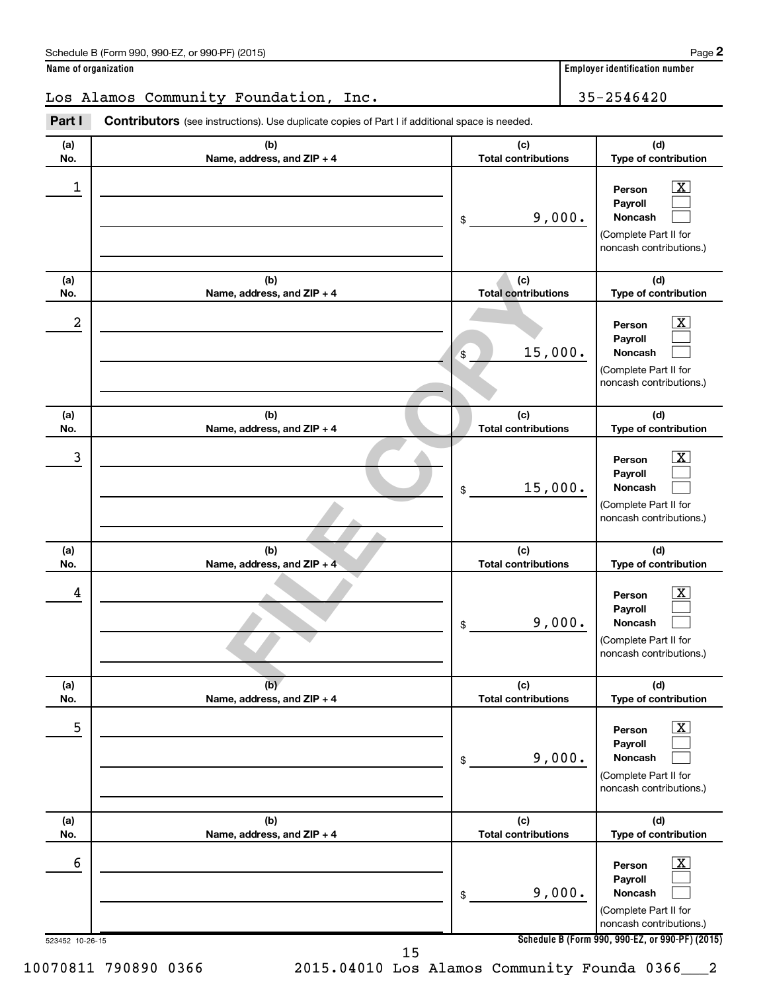| Schedule B (Form 990, 990-EZ, or 990-PF) (2015)<br>$\sqrt{2}$ and $\sqrt{2}$ and $\sqrt{2}$ and $\sqrt{2}$ and $\sqrt{2}$ and $\sqrt{2}$ and $\sqrt{2}$ and $\sqrt{2}$ and $\sqrt{2}$ and $\sqrt{2}$ and $\sqrt{2}$ and $\sqrt{2}$ and $\sqrt{2}$ and $\sqrt{2}$ and $\sqrt{2}$ and $\sqrt{2}$ and $\sqrt{2}$ and $\sqrt{2}$ and $\sqrt{2$ | Page |  |
|--------------------------------------------------------------------------------------------------------------------------------------------------------------------------------------------------------------------------------------------------------------------------------------------------------------------------------------------|------|--|
|--------------------------------------------------------------------------------------------------------------------------------------------------------------------------------------------------------------------------------------------------------------------------------------------------------------------------------------------|------|--|

**Name of organization Employer identification number**

Los Alamos Community Foundation, Inc. 35-2546420

| Part I          | Contributors (see instructions). Use duplicate copies of Part I if additional space is needed. |                                   |                                                                                                                    |
|-----------------|------------------------------------------------------------------------------------------------|-----------------------------------|--------------------------------------------------------------------------------------------------------------------|
| (a)<br>No.      | (b)<br>Name, address, and ZIP + 4                                                              | (c)<br><b>Total contributions</b> | (d)<br>Type of contribution                                                                                        |
| 1               |                                                                                                | 9,000.<br>\$                      | $\overline{\mathbf{X}}$<br>Person<br>Payroll<br>Noncash<br>(Complete Part II for<br>noncash contributions.)        |
| (a)<br>No.      | (b)<br>Name, address, and ZIP + 4                                                              | (c)<br><b>Total contributions</b> | (d)<br>Type of contribution                                                                                        |
| 2               |                                                                                                | 15,000.<br>\$                     | $\overline{\text{X}}$<br>Person<br>Payroll<br>Noncash<br>(Complete Part II for<br>noncash contributions.)          |
| (a)<br>No.      | (b)<br>Name, address, and ZIP + 4                                                              | (c)<br><b>Total contributions</b> | (d)<br>Type of contribution                                                                                        |
| 3               |                                                                                                | 15,000.<br>\$                     | $\overline{\text{X}}$<br>Person<br>Payroll<br>Noncash<br>(Complete Part II for<br>noncash contributions.)          |
| (a)<br>No.      | (b)<br>Name, address, and ZIP + 4                                                              | (c)<br><b>Total contributions</b> | (d)<br>Type of contribution                                                                                        |
| 4               |                                                                                                | 9,000.<br>\$                      | $\overline{\text{X}}$<br>Person<br>Payroll<br>Noncash<br>(Complete Part II for<br>noncash contributions.)          |
| (a)<br>No.      | (b)<br>Name, address, and ZIP + 4                                                              | (c)<br><b>Total contributions</b> | (d)<br>Type of contribution                                                                                        |
| 5               |                                                                                                | 9,000.<br>$\,$                    | $\overline{\mathbf{X}}$<br>Person<br>Payroll<br><b>Noncash</b><br>(Complete Part II for<br>noncash contributions.) |
| (a)<br>No.      | (b)<br>Name, address, and ZIP + 4                                                              | (c)<br><b>Total contributions</b> | (d)<br>Type of contribution                                                                                        |
| 6               |                                                                                                | 9,000.<br>\$                      | $\overline{\text{X}}$<br>Person<br>Payroll<br>Noncash<br>(Complete Part II for<br>noncash contributions.)          |
| 523452 10-26-15 | 15                                                                                             |                                   | Schedule B (Form 990, 990-EZ, or 990-PF) (2015)                                                                    |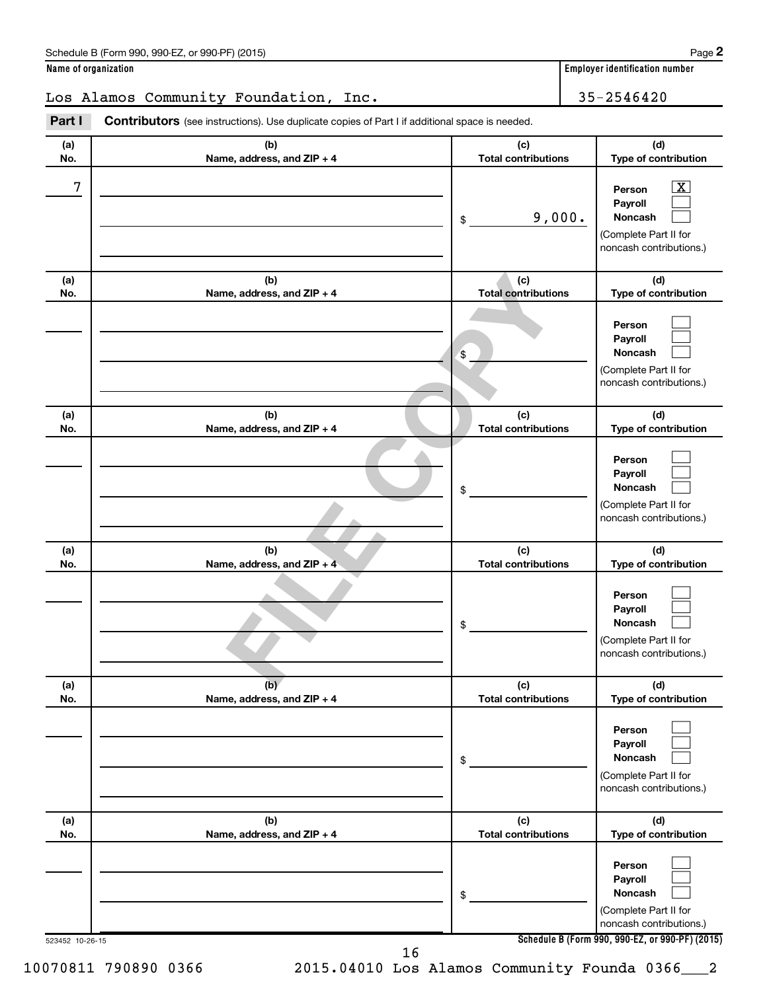| Schedule B (Form 990, 990-EZ, or 990-PF) (2015)<br>$\sqrt{2}$ and $\sqrt{2}$ and $\sqrt{2}$ and $\sqrt{2}$ and $\sqrt{2}$ and $\sqrt{2}$ and $\sqrt{2}$ and $\sqrt{2}$ and $\sqrt{2}$ and $\sqrt{2}$ and $\sqrt{2}$ and $\sqrt{2}$ and $\sqrt{2}$ and $\sqrt{2}$ and $\sqrt{2}$ and $\sqrt{2}$ and $\sqrt{2}$ and $\sqrt{2}$ and $\sqrt{2$ | Page |  |
|--------------------------------------------------------------------------------------------------------------------------------------------------------------------------------------------------------------------------------------------------------------------------------------------------------------------------------------------|------|--|
|--------------------------------------------------------------------------------------------------------------------------------------------------------------------------------------------------------------------------------------------------------------------------------------------------------------------------------------------|------|--|

**Name of organization Employer identification number**

Los Alamos Community Foundation, Inc. 1987 1997 1998 1999

| Part I          | <b>Contributors</b> (see instructions). Use duplicate copies of Part I if additional space is needed. |                                   |                                                                                                                                     |
|-----------------|-------------------------------------------------------------------------------------------------------|-----------------------------------|-------------------------------------------------------------------------------------------------------------------------------------|
| (a)<br>No.      | (b)<br>Name, address, and ZIP + 4                                                                     | (c)<br><b>Total contributions</b> | (d)<br>Type of contribution                                                                                                         |
| 7               |                                                                                                       | 9,000.<br>\$                      | $\overline{\mathbf{X}}$<br>Person<br>Payroll<br>Noncash<br>(Complete Part II for<br>noncash contributions.)                         |
| (a)<br>No.      | (b)<br>Name, address, and ZIP + 4                                                                     | (c)<br><b>Total contributions</b> | (d)<br>Type of contribution                                                                                                         |
|                 |                                                                                                       | \$                                | Person<br>Payroll<br>Noncash<br>(Complete Part II for<br>noncash contributions.)                                                    |
| (a)<br>No.      | (b)<br>Name, address, and ZIP + 4                                                                     | (c)<br><b>Total contributions</b> | (d)<br>Type of contribution                                                                                                         |
|                 |                                                                                                       | \$                                | Person<br>Payroll<br>Noncash<br>(Complete Part II for<br>noncash contributions.)                                                    |
| (a)<br>No.      | (b)<br>Name, address, and ZIP + 4                                                                     | (c)<br><b>Total contributions</b> | (d)<br>Type of contribution                                                                                                         |
|                 |                                                                                                       | \$                                | Person<br>Payroll<br>Noncash<br>(Complete Part II for<br>noncash contributions.)                                                    |
| (a)<br>No.      | (b)<br>Name, address, and ZIP + 4                                                                     | (c)<br><b>Total contributions</b> | (d)<br>Type of contribution                                                                                                         |
|                 |                                                                                                       | \$                                | Person<br>Payroll<br>Noncash<br>(Complete Part II for<br>noncash contributions.)                                                    |
| (a)<br>No.      | (b)<br>Name, address, and ZIP + 4                                                                     | (c)<br><b>Total contributions</b> | (d)<br>Type of contribution                                                                                                         |
| 523452 10-26-15 |                                                                                                       | \$                                | Person<br>Payroll<br>Noncash<br>(Complete Part II for<br>noncash contributions.)<br>Schedule B (Form 990, 990-EZ, or 990-PF) (2015) |
|                 | 16                                                                                                    |                                   |                                                                                                                                     |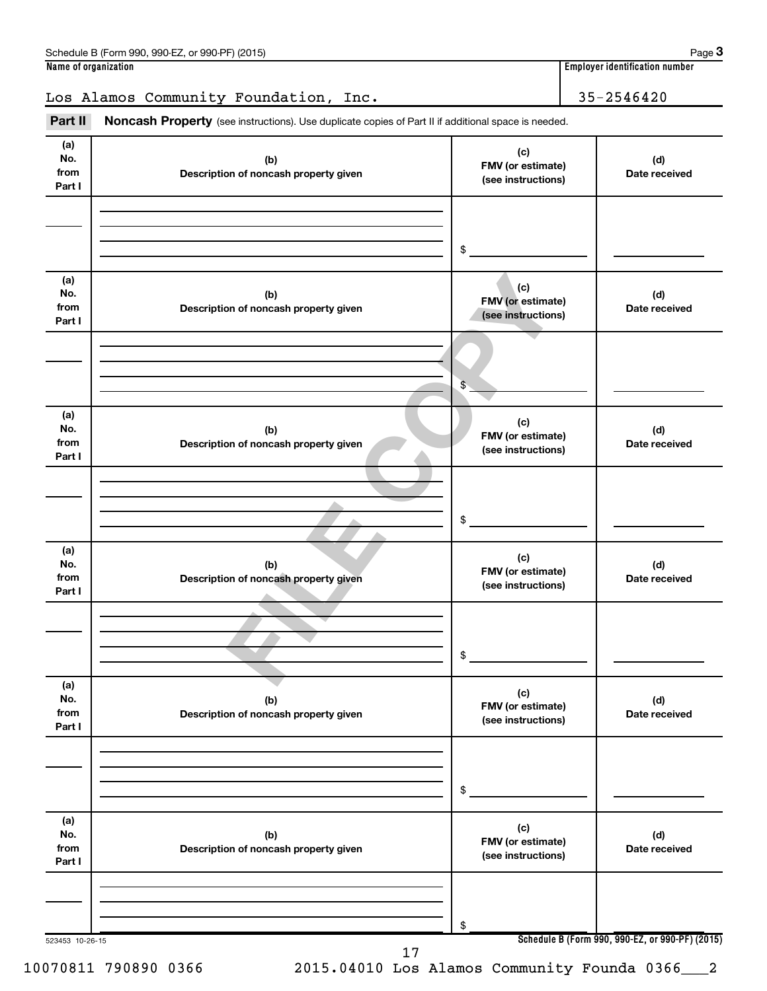| Part II                      | Noncash Property (see instructions). Use duplicate copies of Part II if additional space is needed. |                                                |                      |
|------------------------------|-----------------------------------------------------------------------------------------------------|------------------------------------------------|----------------------|
| (a)<br>No.<br>from<br>Part I | (b)<br>Description of noncash property given                                                        | (c)<br>FMV (or estimate)<br>(see instructions) | (d)<br>Date received |
|                              |                                                                                                     | \$                                             |                      |
| (a)<br>No.<br>from<br>Part I | (b)<br>Description of noncash property given                                                        | (c)<br>FMV (or estimate)<br>(see instructions) | (d)<br>Date received |
|                              |                                                                                                     | \$                                             |                      |
| (a)<br>No.<br>from<br>Part I | (b)<br>Description of noncash property given                                                        | (c)<br>FMV (or estimate)<br>(see instructions) | (d)<br>Date received |
|                              |                                                                                                     | \$                                             |                      |
| (a)<br>No.<br>from<br>Part I | (b)<br>Description of noncash property given                                                        | (c)<br>FMV (or estimate)<br>(see instructions) | (d)<br>Date received |
|                              |                                                                                                     | \$                                             |                      |
| (a)<br>No.<br>from<br>Part I | (b)<br>Description of noncash property given                                                        | (c)<br>FMV (or estimate)<br>(see instructions) | (d)<br>Date received |
|                              |                                                                                                     | \$                                             |                      |
| (a)<br>No.<br>from<br>Part I | (b)<br>Description of noncash property given                                                        | (c)<br>FMV (or estimate)<br>(see instructions) | (d)<br>Date received |
|                              |                                                                                                     | \$                                             |                      |

**3**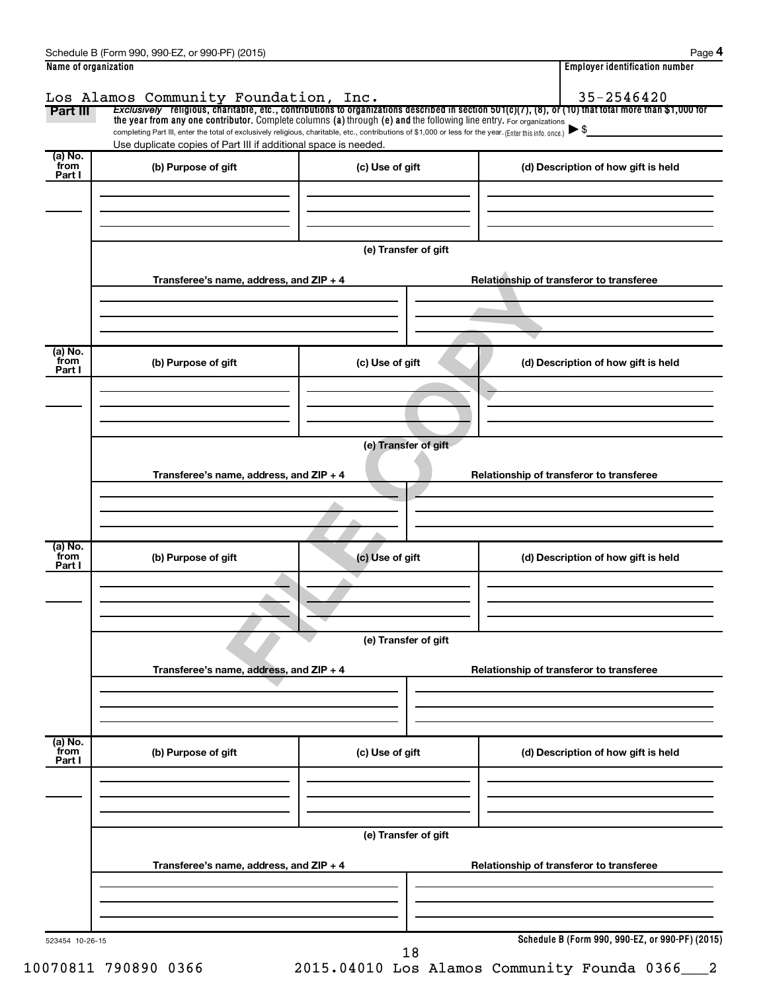| Schedule B (Form 990, 990-EZ, or 990-PF) (2015)                                                                                                                      | Page                           |
|----------------------------------------------------------------------------------------------------------------------------------------------------------------------|--------------------------------|
| Name of organization                                                                                                                                                 | Emplover identification number |
|                                                                                                                                                                      |                                |
|                                                                                                                                                                      |                                |
| Los Alamos Community Foundation, Inc.                                                                                                                                | 35-2546420                     |
| religious, charitable, etc., contributions to organizations described in section 501(c)(7), (8), or (10) that total more than \$1,000 for<br>Part III<br>Exclusivelv |                                |
| the year from any one contributor. Complete columns (a) through (e) and the following line entry. For organizations                                                  |                                |

 (Enter this info. once.) For organizations completing Part III, enter the total of exclusively religious, charitable, etc., contributions of \$1,000 or less for the year. **religious, charitable, etc., contributions to organizations described in section 501(c)(7), (8), or (10) that total more than \$1,000 for** Exclusively religious, charitable, etc., contributions to organizations described in section 501(c)(7), (8), or (10) th<br>the year from any one contributor. Complete columns (a) through (e) and the following line entry. For Use duplicate copies of Part III if additional space is needed.

| (a) No.<br>from<br>Part I | (b) Purpose of gift                     | (c) Use of gift      | (d) Description of how gift is held      |
|---------------------------|-----------------------------------------|----------------------|------------------------------------------|
|                           |                                         |                      |                                          |
|                           |                                         |                      |                                          |
|                           |                                         |                      |                                          |
|                           |                                         | (e) Transfer of gift |                                          |
|                           | Transferee's name, address, and ZIP + 4 |                      | Relationship of transferor to transferee |
|                           |                                         |                      |                                          |
|                           |                                         |                      |                                          |
| (a) No.<br>from           |                                         |                      |                                          |
| Part I                    | (b) Purpose of gift                     | (c) Use of gift      | (d) Description of how gift is held      |
|                           |                                         |                      |                                          |
|                           |                                         |                      |                                          |
|                           |                                         | (e) Transfer of gift |                                          |
|                           |                                         |                      |                                          |
|                           | Transferee's name, address, and ZIP + 4 |                      | Relationship of transferor to transferee |
|                           |                                         |                      |                                          |
|                           |                                         |                      |                                          |
| (a) No.<br>from           | (b) Purpose of gift                     | (c) Use of gift      | (d) Description of how gift is held      |
| Part I                    |                                         |                      |                                          |
|                           |                                         |                      |                                          |
|                           |                                         |                      |                                          |
|                           |                                         | (e) Transfer of gift |                                          |
|                           | Transferee's name, address, and ZIP + 4 |                      |                                          |
|                           |                                         |                      | Relationship of transferor to transferee |
|                           |                                         |                      |                                          |
|                           |                                         |                      |                                          |
| (a) No.<br>from<br>Part I | (b) Purpose of gift                     | (c) Use of gift      | (d) Description of how gift is held      |
|                           |                                         |                      |                                          |
|                           |                                         |                      |                                          |
|                           |                                         |                      |                                          |
|                           |                                         | (e) Transfer of gift |                                          |
|                           | Transferee's name, address, and ZIP + 4 |                      | Relationship of transferor to transferee |
|                           |                                         |                      |                                          |
|                           |                                         |                      |                                          |
|                           |                                         |                      |                                          |

523454 10-26-15

**Schedule B (Form 990, 990-EZ, or 990-PF) (2015)**

10070811 790890 0366 2015.04010 Los Alamos Community Founda 0366\_\_\_2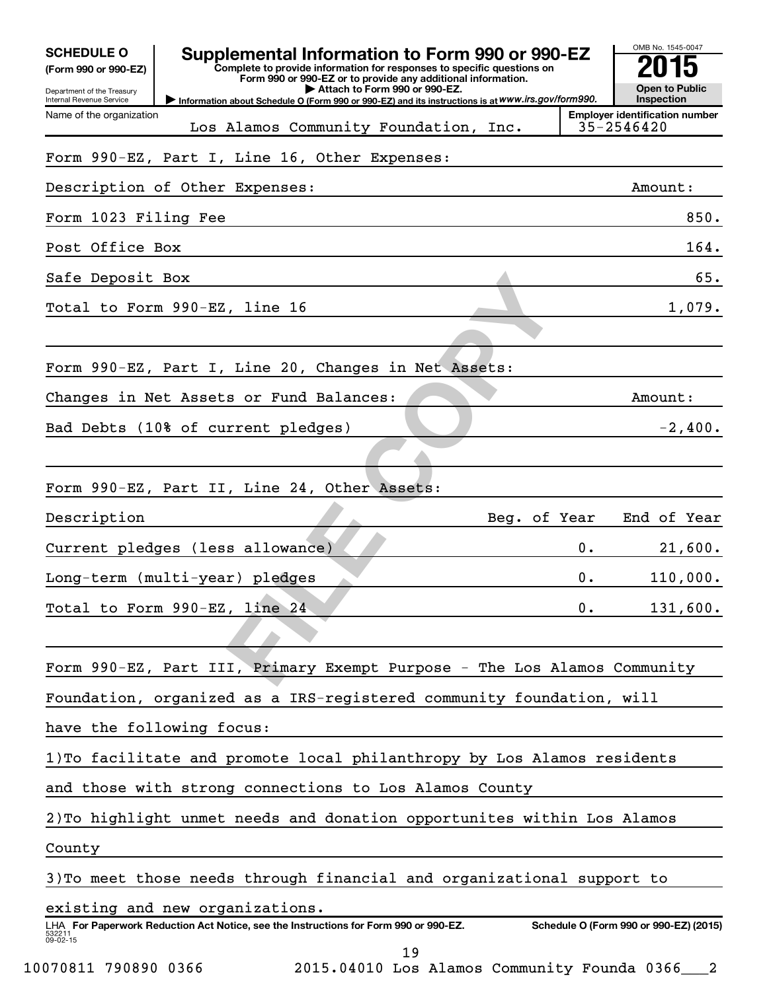| <b>SCHEDULE O</b><br>(Form 990 or 990-EZ)                                | Supplemental Information to Form 990 or 990-EZ<br>Complete to provide information for responses to specific questions on<br>Form 990 or 990-EZ or to provide any additional information. |       | OMB No. 1545-0047<br><b>Open to Public</b>          |
|--------------------------------------------------------------------------|------------------------------------------------------------------------------------------------------------------------------------------------------------------------------------------|-------|-----------------------------------------------------|
| Department of the Treasury<br>Internal Revenue Service                   | Attach to Form 990 or 990-EZ.<br>Information about Schedule O (Form 990 or 990-EZ) and its instructions is at WWW.irs.gov/form990.                                                       |       | Inspection                                          |
| Name of the organization                                                 | Los Alamos Community Foundation, Inc.                                                                                                                                                    |       | <b>Employer identification number</b><br>35-2546420 |
| Form 990-EZ, Part I, Line 16, Other Expenses:                            |                                                                                                                                                                                          |       |                                                     |
| Description of Other Expenses:                                           |                                                                                                                                                                                          |       | Amount:                                             |
| Form 1023 Filing Fee                                                     |                                                                                                                                                                                          |       | 850.                                                |
| Post Office Box<br>164.                                                  |                                                                                                                                                                                          |       |                                                     |
| 65.<br>Safe Deposit Box                                                  |                                                                                                                                                                                          |       |                                                     |
| 1,079.<br>Total to Form 990-EZ, line 16                                  |                                                                                                                                                                                          |       |                                                     |
|                                                                          |                                                                                                                                                                                          |       |                                                     |
|                                                                          | Form 990-EZ, Part I, Line 20, Changes in Net Assets:                                                                                                                                     |       |                                                     |
| Changes in Net Assets or Fund Balances:<br>Amount:                       |                                                                                                                                                                                          |       |                                                     |
| Bad Debts (10% of current pledges)                                       |                                                                                                                                                                                          |       | $-2,400.$                                           |
|                                                                          |                                                                                                                                                                                          |       |                                                     |
|                                                                          | Form 990-EZ, Part II, Line 24, Other Assets:                                                                                                                                             |       |                                                     |
| Description                                                              | Beg. of Year                                                                                                                                                                             |       | End of Year                                         |
| Current pledges (less allowance)<br>0.                                   |                                                                                                                                                                                          |       | 21,600.                                             |
| Long-term (multi-year) pledges<br>0.                                     |                                                                                                                                                                                          |       | 110,000.                                            |
|                                                                          | Total to Form 990-EZ, line 24                                                                                                                                                            | $0$ . | 131,600.                                            |
|                                                                          |                                                                                                                                                                                          |       |                                                     |
| Form 990-EZ, Part III, Primary Exempt Purpose - The Los Alamos Community |                                                                                                                                                                                          |       |                                                     |
| Foundation, organized as a IRS-registered community foundation, will     |                                                                                                                                                                                          |       |                                                     |
|                                                                          | have the following focus:                                                                                                                                                                |       |                                                     |
| 1) To facilitate and promote local philanthropy by Los Alamos residents  |                                                                                                                                                                                          |       |                                                     |
|                                                                          | and those with strong connections to Los Alamos County                                                                                                                                   |       |                                                     |
| 2) To highlight unmet needs and donation opportunites within Los Alamos  |                                                                                                                                                                                          |       |                                                     |
| County                                                                   |                                                                                                                                                                                          |       |                                                     |
| 3) To meet those needs through financial and organizational support to   |                                                                                                                                                                                          |       |                                                     |
|                                                                          | existing and new organizations.                                                                                                                                                          |       |                                                     |
| 532211<br>09-02-15                                                       | LHA For Paperwork Reduction Act Notice, see the Instructions for Form 990 or 990-EZ.                                                                                                     |       | Schedule O (Form 990 or 990-EZ) (2015)              |
|                                                                          | 19                                                                                                                                                                                       |       |                                                     |